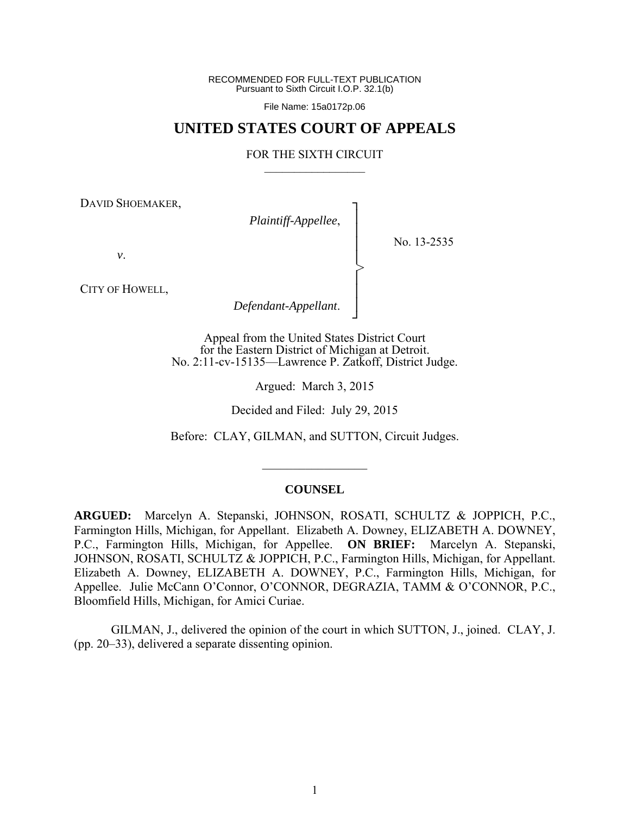RECOMMENDED FOR FULL-TEXT PUBLICATION Pursuant to Sixth Circuit I.O.P. 32.1(b)

File Name: 15a0172p.06

# **UNITED STATES COURT OF APPEALS**

#### FOR THE SIXTH CIRCUIT  $\mathcal{L}_\text{max}$

┐ │ │ │ │ │ │ │ ┘

>

DAVID SHOEMAKER,

*Plaintiff-Appellee*,

No. 13-2535

*v*.

CITY OF HOWELL,

*Defendant-Appellant*.

Appeal from the United States District Court for the Eastern District of Michigan at Detroit. No. 2:11-cv-15135—Lawrence P. Zatkoff, District Judge.

Argued: March 3, 2015

Decided and Filed: July 29, 2015

Before: CLAY, GILMAN, and SUTTON, Circuit Judges.

#### **COUNSEL**

 $\frac{1}{2}$ 

**ARGUED:** Marcelyn A. Stepanski, JOHNSON, ROSATI, SCHULTZ & JOPPICH, P.C., Farmington Hills, Michigan, for Appellant. Elizabeth A. Downey, ELIZABETH A. DOWNEY, P.C., Farmington Hills, Michigan, for Appellee. **ON BRIEF:** Marcelyn A. Stepanski, JOHNSON, ROSATI, SCHULTZ & JOPPICH, P.C., Farmington Hills, Michigan, for Appellant. Elizabeth A. Downey, ELIZABETH A. DOWNEY, P.C., Farmington Hills, Michigan, for Appellee. Julie McCann O'Connor, O'CONNOR, DEGRAZIA, TAMM & O'CONNOR, P.C., Bloomfield Hills, Michigan, for Amici Curiae.

 GILMAN, J., delivered the opinion of the court in which SUTTON, J., joined. CLAY, J. (pp. 20–33), delivered a separate dissenting opinion.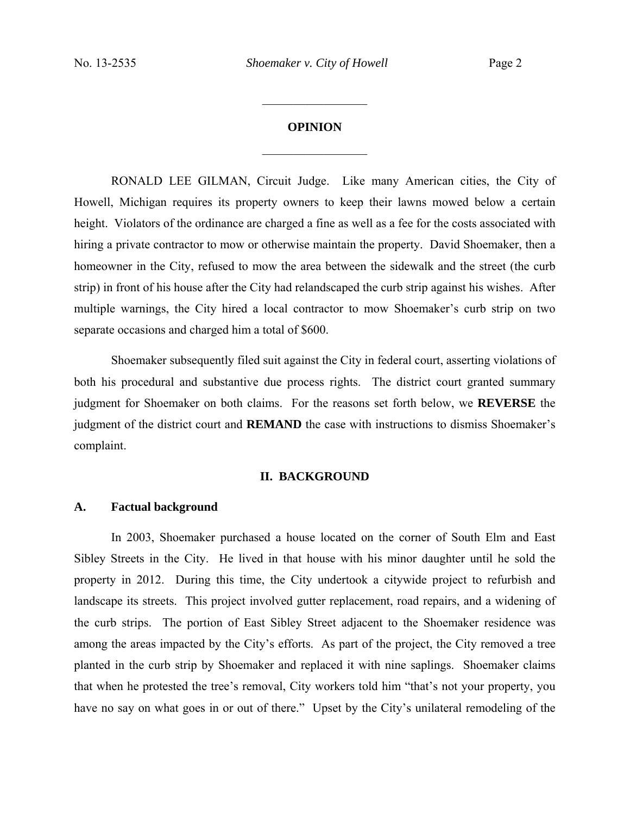$\frac{1}{2}$ 

# **OPINION**

 $\frac{1}{2}$ 

RONALD LEE GILMAN, Circuit Judge.Like many American cities, the City of Howell, Michigan requires its property owners to keep their lawns mowed below a certain height. Violators of the ordinance are charged a fine as well as a fee for the costs associated with hiring a private contractor to mow or otherwise maintain the property. David Shoemaker, then a homeowner in the City, refused to mow the area between the sidewalk and the street (the curb strip) in front of his house after the City had relandscaped the curb strip against his wishes. After multiple warnings, the City hired a local contractor to mow Shoemaker's curb strip on two separate occasions and charged him a total of \$600.

Shoemaker subsequently filed suit against the City in federal court, asserting violations of both his procedural and substantive due process rights. The district court granted summary judgment for Shoemaker on both claims. For the reasons set forth below, we **REVERSE** the judgment of the district court and **REMAND** the case with instructions to dismiss Shoemaker's complaint.

#### **II. BACKGROUND**

# **A. Factual background**

In 2003, Shoemaker purchased a house located on the corner of South Elm and East Sibley Streets in the City. He lived in that house with his minor daughter until he sold the property in 2012. During this time, the City undertook a citywide project to refurbish and landscape its streets. This project involved gutter replacement, road repairs, and a widening of the curb strips. The portion of East Sibley Street adjacent to the Shoemaker residence was among the areas impacted by the City's efforts. As part of the project, the City removed a tree planted in the curb strip by Shoemaker and replaced it with nine saplings. Shoemaker claims that when he protested the tree's removal, City workers told him "that's not your property, you have no say on what goes in or out of there." Upset by the City's unilateral remodeling of the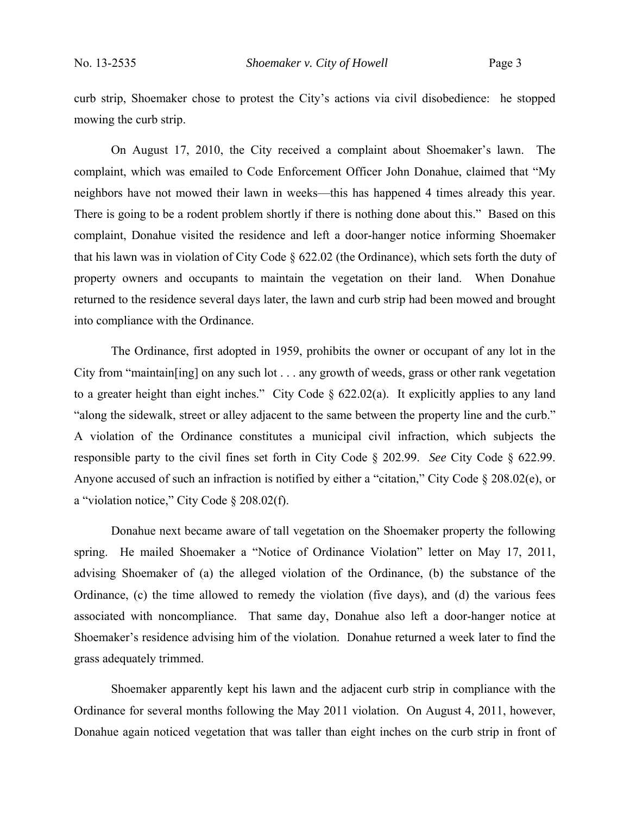curb strip, Shoemaker chose to protest the City's actions via civil disobedience: he stopped mowing the curb strip.

On August 17, 2010, the City received a complaint about Shoemaker's lawn. The complaint, which was emailed to Code Enforcement Officer John Donahue, claimed that "My neighbors have not mowed their lawn in weeks—this has happened 4 times already this year. There is going to be a rodent problem shortly if there is nothing done about this." Based on this complaint, Donahue visited the residence and left a door-hanger notice informing Shoemaker that his lawn was in violation of City Code  $\S 622.02$  (the Ordinance), which sets forth the duty of property owners and occupants to maintain the vegetation on their land. When Donahue returned to the residence several days later, the lawn and curb strip had been mowed and brought into compliance with the Ordinance.

The Ordinance, first adopted in 1959, prohibits the owner or occupant of any lot in the City from "maintain[ing] on any such lot . . . any growth of weeds, grass or other rank vegetation to a greater height than eight inches." City Code  $\S$  622.02(a). It explicitly applies to any land "along the sidewalk, street or alley adjacent to the same between the property line and the curb." A violation of the Ordinance constitutes a municipal civil infraction, which subjects the responsible party to the civil fines set forth in City Code § 202.99. *See* City Code § 622.99. Anyone accused of such an infraction is notified by either a "citation," City Code § 208.02(e), or a "violation notice," City Code § 208.02(f).

Donahue next became aware of tall vegetation on the Shoemaker property the following spring. He mailed Shoemaker a "Notice of Ordinance Violation" letter on May 17, 2011, advising Shoemaker of (a) the alleged violation of the Ordinance, (b) the substance of the Ordinance, (c) the time allowed to remedy the violation (five days), and (d) the various fees associated with noncompliance. That same day, Donahue also left a door-hanger notice at Shoemaker's residence advising him of the violation. Donahue returned a week later to find the grass adequately trimmed.

Shoemaker apparently kept his lawn and the adjacent curb strip in compliance with the Ordinance for several months following the May 2011 violation. On August 4, 2011, however, Donahue again noticed vegetation that was taller than eight inches on the curb strip in front of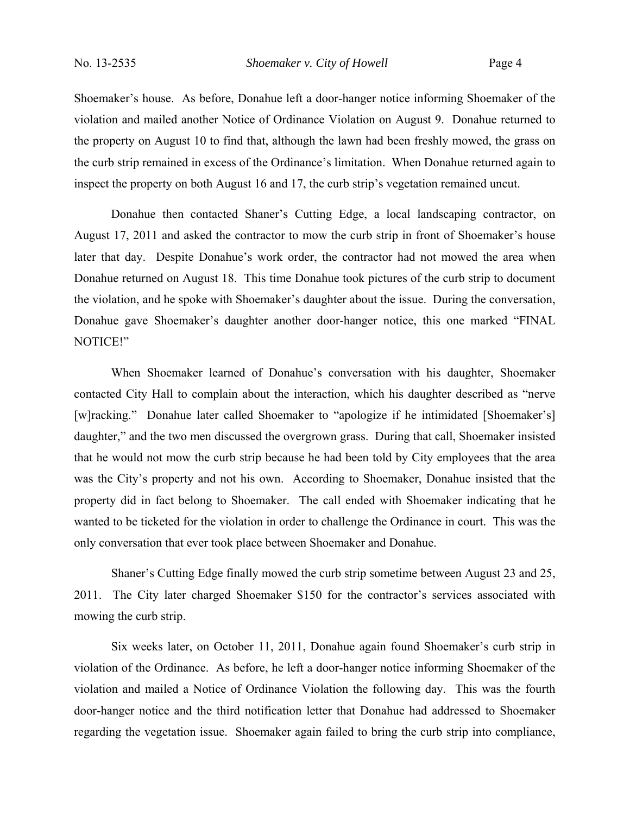Shoemaker's house. As before, Donahue left a door-hanger notice informing Shoemaker of the violation and mailed another Notice of Ordinance Violation on August 9. Donahue returned to the property on August 10 to find that, although the lawn had been freshly mowed, the grass on the curb strip remained in excess of the Ordinance's limitation. When Donahue returned again to inspect the property on both August 16 and 17, the curb strip's vegetation remained uncut.

Donahue then contacted Shaner's Cutting Edge, a local landscaping contractor, on August 17, 2011 and asked the contractor to mow the curb strip in front of Shoemaker's house later that day. Despite Donahue's work order, the contractor had not mowed the area when Donahue returned on August 18. This time Donahue took pictures of the curb strip to document the violation, and he spoke with Shoemaker's daughter about the issue. During the conversation, Donahue gave Shoemaker's daughter another door-hanger notice, this one marked "FINAL NOTICE!"

When Shoemaker learned of Donahue's conversation with his daughter, Shoemaker contacted City Hall to complain about the interaction, which his daughter described as "nerve [w]racking." Donahue later called Shoemaker to "apologize if he intimidated [Shoemaker's] daughter," and the two men discussed the overgrown grass. During that call, Shoemaker insisted that he would not mow the curb strip because he had been told by City employees that the area was the City's property and not his own. According to Shoemaker, Donahue insisted that the property did in fact belong to Shoemaker. The call ended with Shoemaker indicating that he wanted to be ticketed for the violation in order to challenge the Ordinance in court. This was the only conversation that ever took place between Shoemaker and Donahue.

Shaner's Cutting Edge finally mowed the curb strip sometime between August 23 and 25, 2011. The City later charged Shoemaker \$150 for the contractor's services associated with mowing the curb strip.

Six weeks later, on October 11, 2011, Donahue again found Shoemaker's curb strip in violation of the Ordinance. As before, he left a door-hanger notice informing Shoemaker of the violation and mailed a Notice of Ordinance Violation the following day. This was the fourth door-hanger notice and the third notification letter that Donahue had addressed to Shoemaker regarding the vegetation issue. Shoemaker again failed to bring the curb strip into compliance,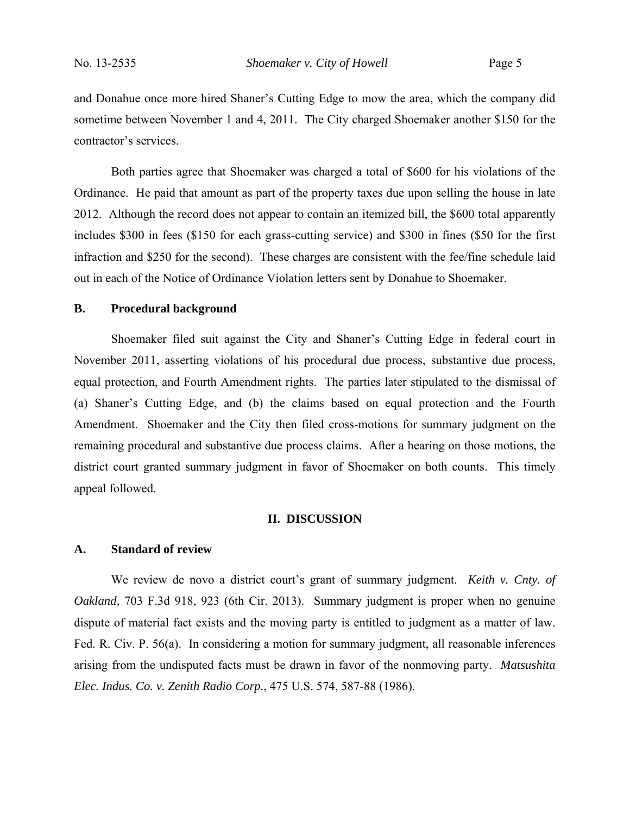and Donahue once more hired Shaner's Cutting Edge to mow the area, which the company did sometime between November 1 and 4, 2011. The City charged Shoemaker another \$150 for the contractor's services.

Both parties agree that Shoemaker was charged a total of \$600 for his violations of the Ordinance. He paid that amount as part of the property taxes due upon selling the house in late 2012. Although the record does not appear to contain an itemized bill, the \$600 total apparently includes \$300 in fees (\$150 for each grass-cutting service) and \$300 in fines (\$50 for the first infraction and \$250 for the second). These charges are consistent with the fee/fine schedule laid out in each of the Notice of Ordinance Violation letters sent by Donahue to Shoemaker.

# **B. Procedural background**

Shoemaker filed suit against the City and Shaner's Cutting Edge in federal court in November 2011, asserting violations of his procedural due process, substantive due process, equal protection, and Fourth Amendment rights. The parties later stipulated to the dismissal of (a) Shaner's Cutting Edge, and (b) the claims based on equal protection and the Fourth Amendment. Shoemaker and the City then filed cross-motions for summary judgment on the remaining procedural and substantive due process claims. After a hearing on those motions, the district court granted summary judgment in favor of Shoemaker on both counts. This timely appeal followed.

#### **II. DISCUSSION**

### **A. Standard of review**

We review de novo a district court's grant of summary judgment. *Keith v. Cnty. of Oakland,* 703 F.3d 918, 923 (6th Cir. 2013). Summary judgment is proper when no genuine dispute of material fact exists and the moving party is entitled to judgment as a matter of law. Fed. R. Civ. P. 56(a). In considering a motion for summary judgment, all reasonable inferences arising from the undisputed facts must be drawn in favor of the nonmoving party. *Matsushita Elec. Indus. Co. v. Zenith Radio Corp.*, 475 U.S. 574, 587-88 (1986).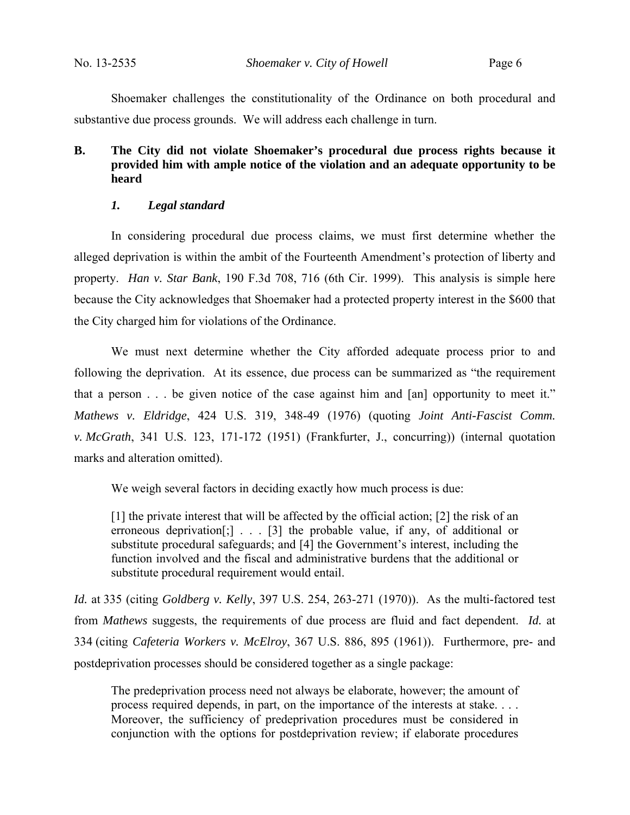Shoemaker challenges the constitutionality of the Ordinance on both procedural and substantive due process grounds. We will address each challenge in turn.

# **B. The City did not violate Shoemaker's procedural due process rights because it provided him with ample notice of the violation and an adequate opportunity to be heard**

# *1. Legal standard*

In considering procedural due process claims, we must first determine whether the alleged deprivation is within the ambit of the Fourteenth Amendment's protection of liberty and property. *Han v. Star Bank*, 190 F.3d 708, 716 (6th Cir. 1999). This analysis is simple here because the City acknowledges that Shoemaker had a protected property interest in the \$600 that the City charged him for violations of the Ordinance.

 We must next determine whether the City afforded adequate process prior to and following the deprivation. At its essence, due process can be summarized as "the requirement that a person . . . be given notice of the case against him and [an] opportunity to meet it." *Mathews v. Eldridge*, 424 U.S. 319, 348-49 (1976) (quoting *Joint Anti-Fascist Comm. v. McGrath*, 341 U.S. 123, 171-172 (1951) (Frankfurter, J., concurring)) (internal quotation marks and alteration omitted).

We weigh several factors in deciding exactly how much process is due:

[1] the private interest that will be affected by the official action; [2] the risk of an erroneous deprivation<sup>[;]</sup> . . . [3] the probable value, if any, of additional or substitute procedural safeguards; and [4] the Government's interest, including the function involved and the fiscal and administrative burdens that the additional or substitute procedural requirement would entail.

*Id.* at 335 (citing *Goldberg v. Kelly*, 397 U.S. 254, 263-271 (1970)). As the multi-factored test from *Mathews* suggests, the requirements of due process are fluid and fact dependent. *Id.* at 334 (citing *Cafeteria Workers v. McElroy*, 367 U.S. 886, 895 (1961)). Furthermore, pre- and postdeprivation processes should be considered together as a single package:

The predeprivation process need not always be elaborate, however; the amount of process required depends, in part, on the importance of the interests at stake. . . . Moreover, the sufficiency of predeprivation procedures must be considered in conjunction with the options for postdeprivation review; if elaborate procedures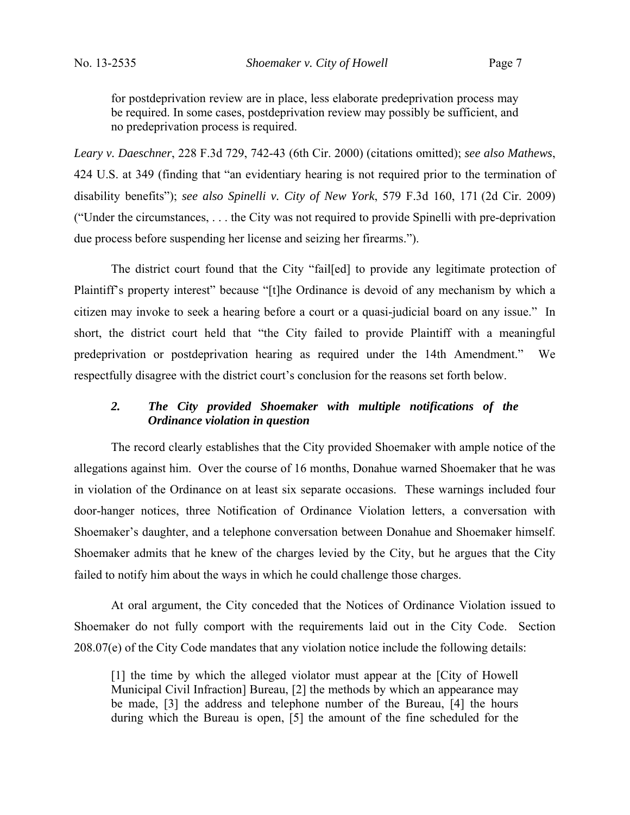for postdeprivation review are in place, less elaborate predeprivation process may be required. In some cases, postdeprivation review may possibly be sufficient, and no predeprivation process is required.

*Leary v. Daeschner*, 228 F.3d 729, 742-43 (6th Cir. 2000) (citations omitted); *see also Mathews*, 424 U.S. at 349 (finding that "an evidentiary hearing is not required prior to the termination of disability benefits"); *see also Spinelli v. City of New York*, 579 F.3d 160, 171 (2d Cir. 2009) ("Under the circumstances, . . . the City was not required to provide Spinelli with pre-deprivation due process before suspending her license and seizing her firearms.").

The district court found that the City "fail[ed] to provide any legitimate protection of Plaintiff's property interest" because "[t]he Ordinance is devoid of any mechanism by which a citizen may invoke to seek a hearing before a court or a quasi-judicial board on any issue." In short, the district court held that "the City failed to provide Plaintiff with a meaningful predeprivation or postdeprivation hearing as required under the 14th Amendment." We respectfully disagree with the district court's conclusion for the reasons set forth below.

# *2. The City provided Shoemaker with multiple notifications of the Ordinance violation in question*

The record clearly establishes that the City provided Shoemaker with ample notice of the allegations against him. Over the course of 16 months, Donahue warned Shoemaker that he was in violation of the Ordinance on at least six separate occasions. These warnings included four door-hanger notices, three Notification of Ordinance Violation letters, a conversation with Shoemaker's daughter, and a telephone conversation between Donahue and Shoemaker himself. Shoemaker admits that he knew of the charges levied by the City, but he argues that the City failed to notify him about the ways in which he could challenge those charges.

At oral argument, the City conceded that the Notices of Ordinance Violation issued to Shoemaker do not fully comport with the requirements laid out in the City Code. Section 208.07(e) of the City Code mandates that any violation notice include the following details:

[1] the time by which the alleged violator must appear at the [City of Howell Municipal Civil Infraction] Bureau, [2] the methods by which an appearance may be made, [3] the address and telephone number of the Bureau, [4] the hours during which the Bureau is open, [5] the amount of the fine scheduled for the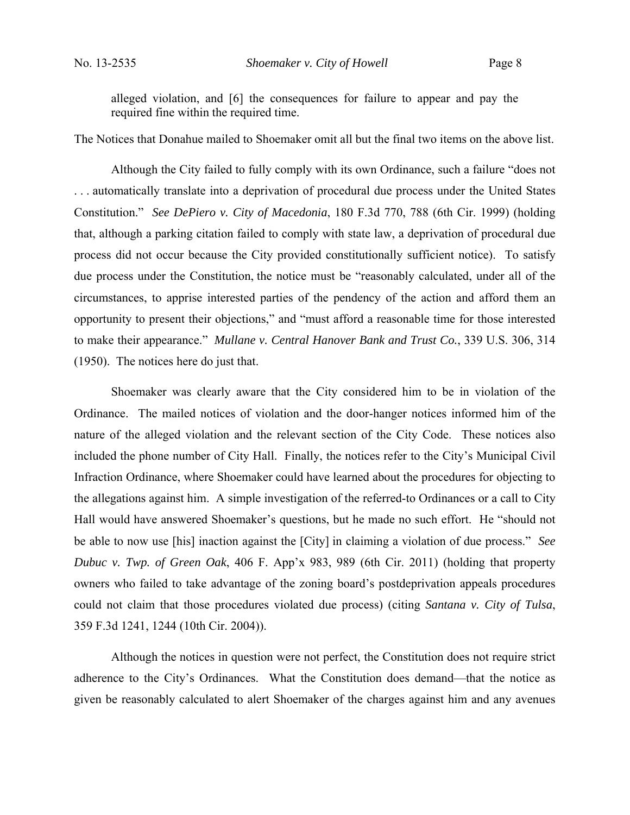alleged violation, and [6] the consequences for failure to appear and pay the required fine within the required time.

The Notices that Donahue mailed to Shoemaker omit all but the final two items on the above list.

 Although the City failed to fully comply with its own Ordinance, such a failure "does not . . . automatically translate into a deprivation of procedural due process under the United States Constitution." *See DePiero v. City of Macedonia*, 180 F.3d 770, 788 (6th Cir. 1999) (holding that, although a parking citation failed to comply with state law, a deprivation of procedural due process did not occur because the City provided constitutionally sufficient notice). To satisfy due process under the Constitution, the notice must be "reasonably calculated, under all of the circumstances, to apprise interested parties of the pendency of the action and afford them an opportunity to present their objections," and "must afford a reasonable time for those interested to make their appearance." *Mullane v. Central Hanover Bank and Trust Co.*, 339 U.S. 306, 314 (1950). The notices here do just that.

Shoemaker was clearly aware that the City considered him to be in violation of the Ordinance. The mailed notices of violation and the door-hanger notices informed him of the nature of the alleged violation and the relevant section of the City Code. These notices also included the phone number of City Hall. Finally, the notices refer to the City's Municipal Civil Infraction Ordinance, where Shoemaker could have learned about the procedures for objecting to the allegations against him. A simple investigation of the referred-to Ordinances or a call to City Hall would have answered Shoemaker's questions, but he made no such effort. He "should not be able to now use [his] inaction against the [City] in claiming a violation of due process." *See Dubuc v. Twp. of Green Oak*, 406 F. App'x 983, 989 (6th Cir. 2011) (holding that property owners who failed to take advantage of the zoning board's postdeprivation appeals procedures could not claim that those procedures violated due process) (citing *Santana v. City of Tulsa*, 359 F.3d 1241, 1244 (10th Cir. 2004)).

Although the notices in question were not perfect, the Constitution does not require strict adherence to the City's Ordinances. What the Constitution does demand—that the notice as given be reasonably calculated to alert Shoemaker of the charges against him and any avenues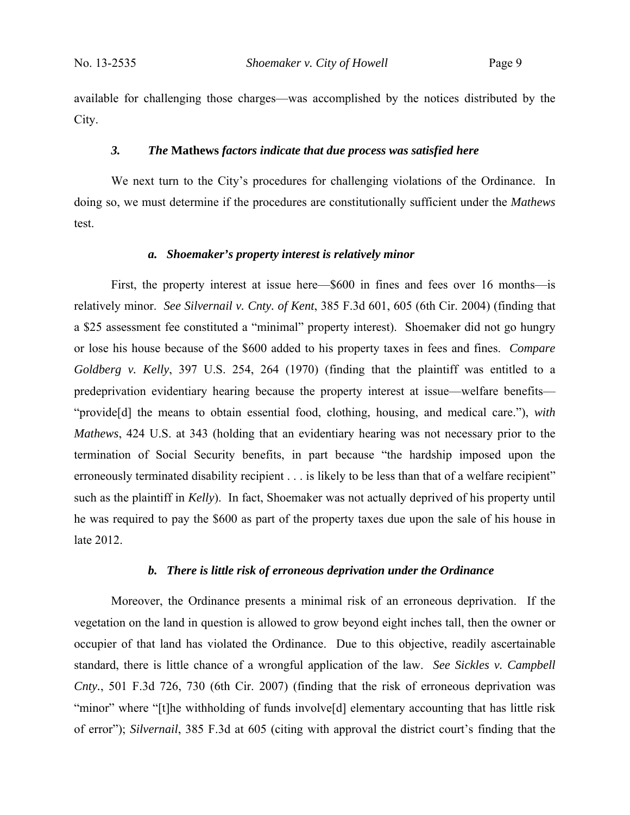available for challenging those charges—was accomplished by the notices distributed by the City.

#### *3. The* **Mathews** *factors indicate that due process was satisfied here*

We next turn to the City's procedures for challenging violations of the Ordinance. In doing so, we must determine if the procedures are constitutionally sufficient under the *Mathews*  test.

#### *a. Shoemaker's property interest is relatively minor*

First, the property interest at issue here—\$600 in fines and fees over 16 months—is relatively minor. *See Silvernail v. Cnty. of Kent*, 385 F.3d 601, 605 (6th Cir. 2004) (finding that a \$25 assessment fee constituted a "minimal" property interest). Shoemaker did not go hungry or lose his house because of the \$600 added to his property taxes in fees and fines. *Compare Goldberg v. Kelly*, 397 U.S. 254, 264 (1970) (finding that the plaintiff was entitled to a predeprivation evidentiary hearing because the property interest at issue—welfare benefits— "provide[d] the means to obtain essential food, clothing, housing, and medical care."), *with Mathews*, 424 U.S. at 343 (holding that an evidentiary hearing was not necessary prior to the termination of Social Security benefits, in part because "the hardship imposed upon the erroneously terminated disability recipient . . . is likely to be less than that of a welfare recipient" such as the plaintiff in *Kelly*). In fact, Shoemaker was not actually deprived of his property until he was required to pay the \$600 as part of the property taxes due upon the sale of his house in late 2012.

#### *b. There is little risk of erroneous deprivation under the Ordinance*

Moreover, the Ordinance presents a minimal risk of an erroneous deprivation. If the vegetation on the land in question is allowed to grow beyond eight inches tall, then the owner or occupier of that land has violated the Ordinance. Due to this objective, readily ascertainable standard, there is little chance of a wrongful application of the law. *See Sickles v. Campbell Cnty.*, 501 F.3d 726, 730 (6th Cir. 2007) (finding that the risk of erroneous deprivation was "minor" where "[t]he withholding of funds involve[d] elementary accounting that has little risk of error"); *Silvernail*, 385 F.3d at 605 (citing with approval the district court's finding that the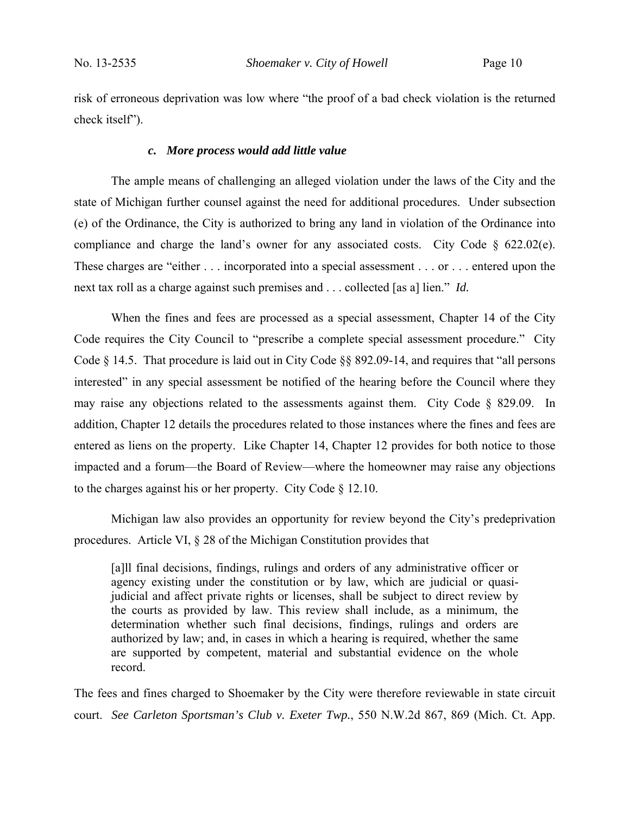risk of erroneous deprivation was low where "the proof of a bad check violation is the returned check itself").

#### *c. More process would add little value*

The ample means of challenging an alleged violation under the laws of the City and the state of Michigan further counsel against the need for additional procedures. Under subsection (e) of the Ordinance, the City is authorized to bring any land in violation of the Ordinance into compliance and charge the land's owner for any associated costs. City Code  $\S$  622.02(e). These charges are "either . . . incorporated into a special assessment . . . or . . . entered upon the next tax roll as a charge against such premises and . . . collected [as a] lien." *Id.*

When the fines and fees are processed as a special assessment, Chapter 14 of the City Code requires the City Council to "prescribe a complete special assessment procedure." City Code § 14.5. That procedure is laid out in City Code §§ 892.09-14, and requires that "all persons interested" in any special assessment be notified of the hearing before the Council where they may raise any objections related to the assessments against them. City Code § 829.09. In addition, Chapter 12 details the procedures related to those instances where the fines and fees are entered as liens on the property. Like Chapter 14, Chapter 12 provides for both notice to those impacted and a forum—the Board of Review—where the homeowner may raise any objections to the charges against his or her property. City Code § 12.10.

Michigan law also provides an opportunity for review beyond the City's predeprivation procedures. Article VI, § 28 of the Michigan Constitution provides that

[a]ll final decisions, findings, rulings and orders of any administrative officer or agency existing under the constitution or by law, which are judicial or quasijudicial and affect private rights or licenses, shall be subject to direct review by the courts as provided by law. This review shall include, as a minimum, the determination whether such final decisions, findings, rulings and orders are authorized by law; and, in cases in which a hearing is required, whether the same are supported by competent, material and substantial evidence on the whole record.

The fees and fines charged to Shoemaker by the City were therefore reviewable in state circuit court. *See Carleton Sportsman's Club v. Exeter Twp.*, 550 N.W.2d 867, 869 (Mich. Ct. App.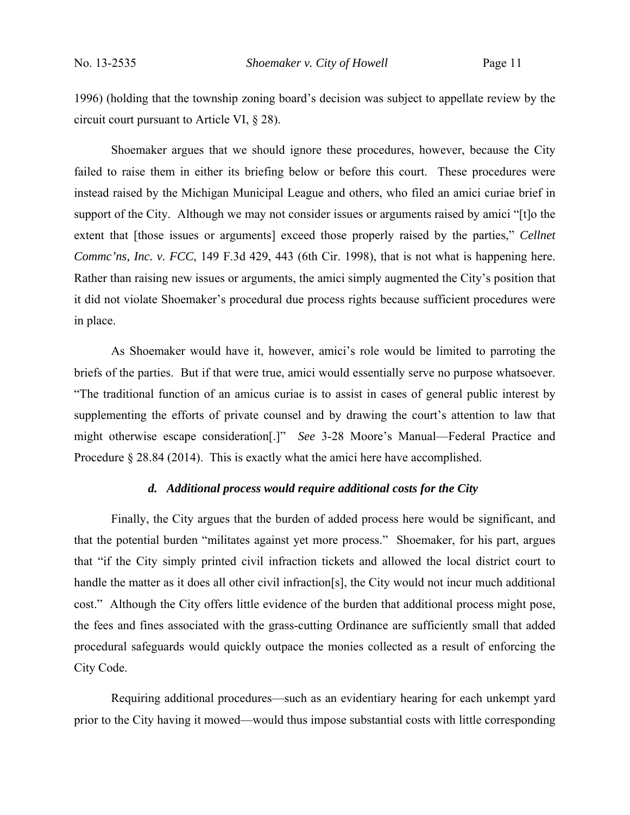1996) (holding that the township zoning board's decision was subject to appellate review by the circuit court pursuant to Article VI, § 28).

Shoemaker argues that we should ignore these procedures, however, because the City failed to raise them in either its briefing below or before this court. These procedures were instead raised by the Michigan Municipal League and others, who filed an amici curiae brief in support of the City. Although we may not consider issues or arguments raised by amici "[t]o the extent that [those issues or arguments] exceed those properly raised by the parties," *Cellnet Commc'ns, Inc. v. FCC*, 149 F.3d 429, 443 (6th Cir. 1998), that is not what is happening here. Rather than raising new issues or arguments, the amici simply augmented the City's position that it did not violate Shoemaker's procedural due process rights because sufficient procedures were in place.

As Shoemaker would have it, however, amici's role would be limited to parroting the briefs of the parties. But if that were true, amici would essentially serve no purpose whatsoever. "The traditional function of an amicus curiae is to assist in cases of general public interest by supplementing the efforts of private counsel and by drawing the court's attention to law that might otherwise escape consideration[.]" *See* 3-28 Moore's Manual—Federal Practice and Procedure § 28.84 (2014). This is exactly what the amici here have accomplished.

# *d. Additional process would require additional costs for the City*

Finally, the City argues that the burden of added process here would be significant, and that the potential burden "militates against yet more process." Shoemaker, for his part, argues that "if the City simply printed civil infraction tickets and allowed the local district court to handle the matter as it does all other civil infraction[s], the City would not incur much additional cost." Although the City offers little evidence of the burden that additional process might pose, the fees and fines associated with the grass-cutting Ordinance are sufficiently small that added procedural safeguards would quickly outpace the monies collected as a result of enforcing the City Code.

Requiring additional procedures—such as an evidentiary hearing for each unkempt yard prior to the City having it mowed—would thus impose substantial costs with little corresponding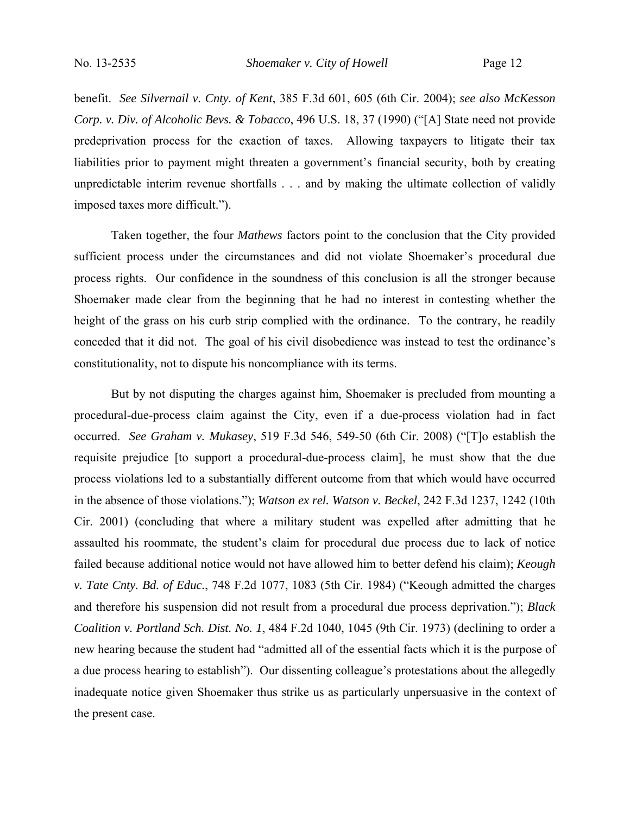benefit. *See Silvernail v. Cnty. of Kent*, 385 F.3d 601, 605 (6th Cir. 2004); *see also McKesson Corp. v. Div. of Alcoholic Bevs. & Tobacco*, 496 U.S. 18, 37 (1990) ("[A] State need not provide predeprivation process for the exaction of taxes. Allowing taxpayers to litigate their tax liabilities prior to payment might threaten a government's financial security, both by creating unpredictable interim revenue shortfalls . . . and by making the ultimate collection of validly imposed taxes more difficult.").

Taken together, the four *Mathews* factors point to the conclusion that the City provided sufficient process under the circumstances and did not violate Shoemaker's procedural due process rights. Our confidence in the soundness of this conclusion is all the stronger because Shoemaker made clear from the beginning that he had no interest in contesting whether the height of the grass on his curb strip complied with the ordinance. To the contrary, he readily conceded that it did not. The goal of his civil disobedience was instead to test the ordinance's constitutionality, not to dispute his noncompliance with its terms.

But by not disputing the charges against him, Shoemaker is precluded from mounting a procedural-due-process claim against the City, even if a due-process violation had in fact occurred. *See Graham v. Mukasey*, 519 F.3d 546, 549-50 (6th Cir. 2008) ("[T]o establish the requisite prejudice [to support a procedural-due-process claim], he must show that the due process violations led to a substantially different outcome from that which would have occurred in the absence of those violations."); *Watson ex rel. Watson v. Beckel*, 242 F.3d 1237, 1242 (10th Cir. 2001) (concluding that where a military student was expelled after admitting that he assaulted his roommate, the student's claim for procedural due process due to lack of notice failed because additional notice would not have allowed him to better defend his claim); *Keough v. Tate Cnty. Bd. of Educ.*, 748 F.2d 1077, 1083 (5th Cir. 1984) ("Keough admitted the charges and therefore his suspension did not result from a procedural due process deprivation."); *Black Coalition v. Portland Sch. Dist. No. 1*, 484 F.2d 1040, 1045 (9th Cir. 1973) (declining to order a new hearing because the student had "admitted all of the essential facts which it is the purpose of a due process hearing to establish"). Our dissenting colleague's protestations about the allegedly inadequate notice given Shoemaker thus strike us as particularly unpersuasive in the context of the present case.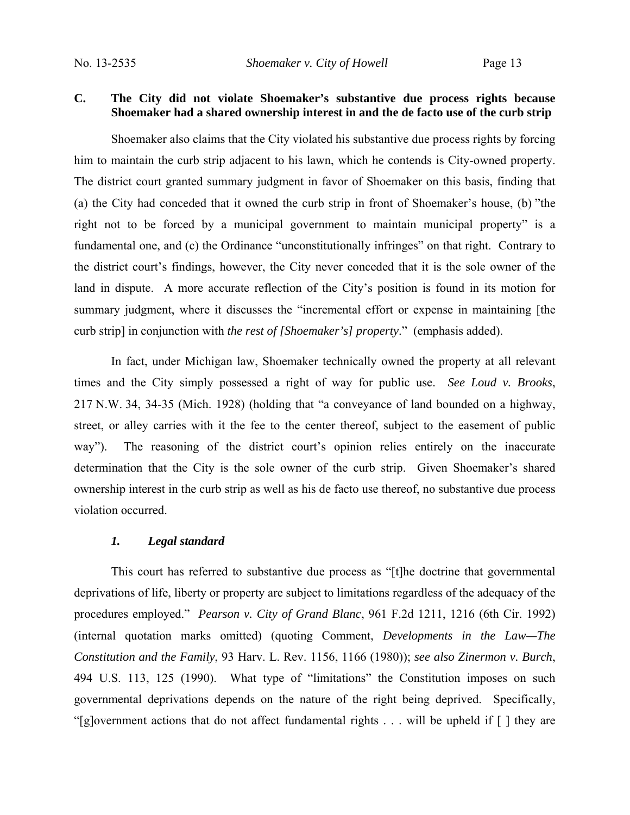# **C. The City did not violate Shoemaker's substantive due process rights because Shoemaker had a shared ownership interest in and the de facto use of the curb strip**

Shoemaker also claims that the City violated his substantive due process rights by forcing him to maintain the curb strip adjacent to his lawn, which he contends is City-owned property. The district court granted summary judgment in favor of Shoemaker on this basis, finding that (a) the City had conceded that it owned the curb strip in front of Shoemaker's house, (b) "the right not to be forced by a municipal government to maintain municipal property" is a fundamental one, and (c) the Ordinance "unconstitutionally infringes" on that right. Contrary to the district court's findings, however, the City never conceded that it is the sole owner of the land in dispute. A more accurate reflection of the City's position is found in its motion for summary judgment, where it discusses the "incremental effort or expense in maintaining [the curb strip] in conjunction with *the rest of [Shoemaker's] property*." (emphasis added).

In fact, under Michigan law, Shoemaker technically owned the property at all relevant times and the City simply possessed a right of way for public use. *See Loud v. Brooks*, 217 N.W. 34, 34-35 (Mich. 1928) (holding that "a conveyance of land bounded on a highway, street, or alley carries with it the fee to the center thereof, subject to the easement of public way"). The reasoning of the district court's opinion relies entirely on the inaccurate determination that the City is the sole owner of the curb strip. Given Shoemaker's shared ownership interest in the curb strip as well as his de facto use thereof, no substantive due process violation occurred.

#### *1. Legal standard*

This court has referred to substantive due process as "[t]he doctrine that governmental deprivations of life, liberty or property are subject to limitations regardless of the adequacy of the procedures employed." *Pearson v. City of Grand Blanc*, 961 F.2d 1211, 1216 (6th Cir. 1992) (internal quotation marks omitted) (quoting Comment, *Developments in the Law—The Constitution and the Family*, 93 Harv. L. Rev. 1156, 1166 (1980)); *see also Zinermon v. Burch*, 494 U.S. 113, 125 (1990). What type of "limitations" the Constitution imposes on such governmental deprivations depends on the nature of the right being deprived. Specifically, "[g]overnment actions that do not affect fundamental rights . . . will be upheld if [ ] they are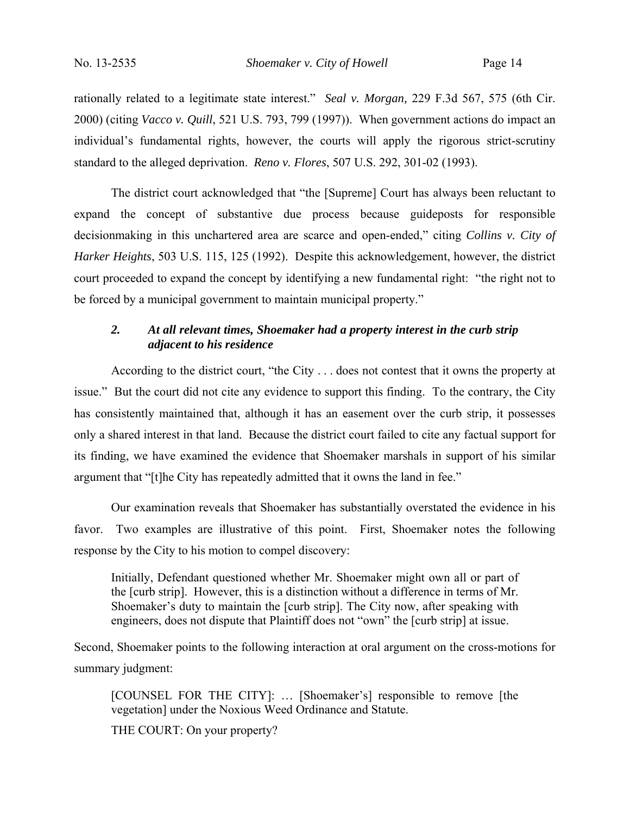rationally related to a legitimate state interest." *Seal v. Morgan,* 229 F.3d 567, 575 (6th Cir. 2000) (citing *Vacco v. Quill*, 521 U.S. 793, 799 (1997)). When government actions do impact an individual's fundamental rights, however, the courts will apply the rigorous strict-scrutiny standard to the alleged deprivation. *Reno v. Flores*, 507 U.S. 292, 301-02 (1993).

The district court acknowledged that "the [Supreme] Court has always been reluctant to expand the concept of substantive due process because guideposts for responsible decisionmaking in this unchartered area are scarce and open-ended," citing *Collins v. City of Harker Heights*, 503 U.S. 115, 125 (1992). Despite this acknowledgement, however, the district court proceeded to expand the concept by identifying a new fundamental right: "the right not to be forced by a municipal government to maintain municipal property."

# *2. At all relevant times, Shoemaker had a property interest in the curb strip adjacent to his residence*

According to the district court, "the City . . . does not contest that it owns the property at issue." But the court did not cite any evidence to support this finding. To the contrary, the City has consistently maintained that, although it has an easement over the curb strip, it possesses only a shared interest in that land. Because the district court failed to cite any factual support for its finding, we have examined the evidence that Shoemaker marshals in support of his similar argument that "[t]he City has repeatedly admitted that it owns the land in fee."

Our examination reveals that Shoemaker has substantially overstated the evidence in his favor. Two examples are illustrative of this point. First, Shoemaker notes the following response by the City to his motion to compel discovery:

Initially, Defendant questioned whether Mr. Shoemaker might own all or part of the [curb strip]. However, this is a distinction without a difference in terms of Mr. Shoemaker's duty to maintain the [curb strip]. The City now, after speaking with engineers, does not dispute that Plaintiff does not "own" the [curb strip] at issue.

Second, Shoemaker points to the following interaction at oral argument on the cross-motions for summary judgment:

[COUNSEL FOR THE CITY]: … [Shoemaker's] responsible to remove [the vegetation] under the Noxious Weed Ordinance and Statute.

THE COURT: On your property?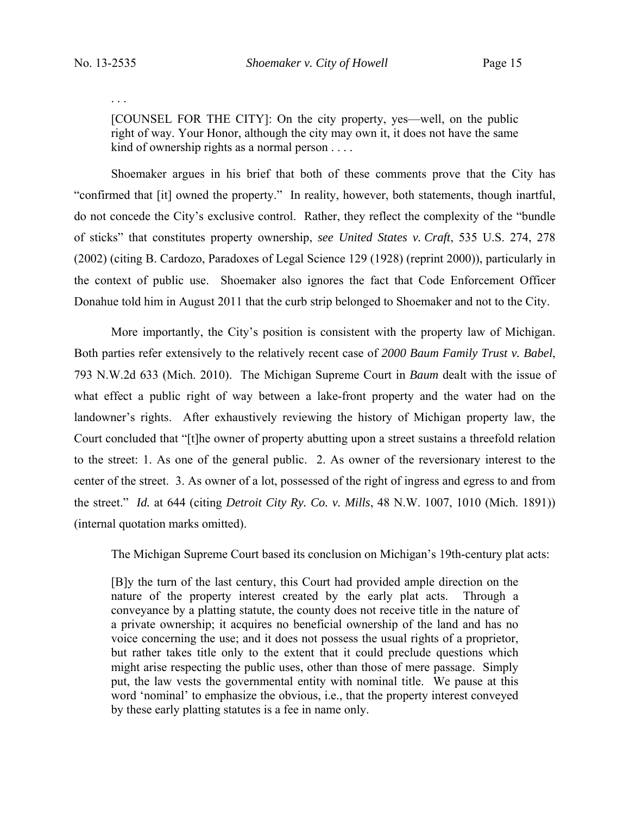. . .

[COUNSEL FOR THE CITY]: On the city property, yes—well, on the public right of way. Your Honor, although the city may own it, it does not have the same kind of ownership rights as a normal person . . . .

Shoemaker argues in his brief that both of these comments prove that the City has "confirmed that [it] owned the property." In reality, however, both statements, though inartful, do not concede the City's exclusive control. Rather, they reflect the complexity of the "bundle of sticks" that constitutes property ownership, *see United States v. Craft*, 535 U.S. 274, 278 (2002) (citing B. Cardozo, Paradoxes of Legal Science 129 (1928) (reprint 2000)), particularly in the context of public use. Shoemaker also ignores the fact that Code Enforcement Officer Donahue told him in August 2011 that the curb strip belonged to Shoemaker and not to the City.

More importantly, the City's position is consistent with the property law of Michigan. Both parties refer extensively to the relatively recent case of *2000 Baum Family Trust v. Babel*, 793 N.W.2d 633 (Mich. 2010). The Michigan Supreme Court in *Baum* dealt with the issue of what effect a public right of way between a lake-front property and the water had on the landowner's rights. After exhaustively reviewing the history of Michigan property law, the Court concluded that "[t]he owner of property abutting upon a street sustains a threefold relation to the street: 1. As one of the general public. 2. As owner of the reversionary interest to the center of the street. 3. As owner of a lot, possessed of the right of ingress and egress to and from the street." *Id.* at 644 (citing *Detroit City Ry. Co. v. Mills*, 48 N.W. 1007, 1010 (Mich. 1891)) (internal quotation marks omitted).

The Michigan Supreme Court based its conclusion on Michigan's 19th-century plat acts:

[B]y the turn of the last century, this Court had provided ample direction on the nature of the property interest created by the early plat acts. Through a conveyance by a platting statute, the county does not receive title in the nature of a private ownership; it acquires no beneficial ownership of the land and has no voice concerning the use; and it does not possess the usual rights of a proprietor, but rather takes title only to the extent that it could preclude questions which might arise respecting the public uses, other than those of mere passage. Simply put, the law vests the governmental entity with nominal title. We pause at this word 'nominal' to emphasize the obvious, i.e., that the property interest conveyed by these early platting statutes is a fee in name only.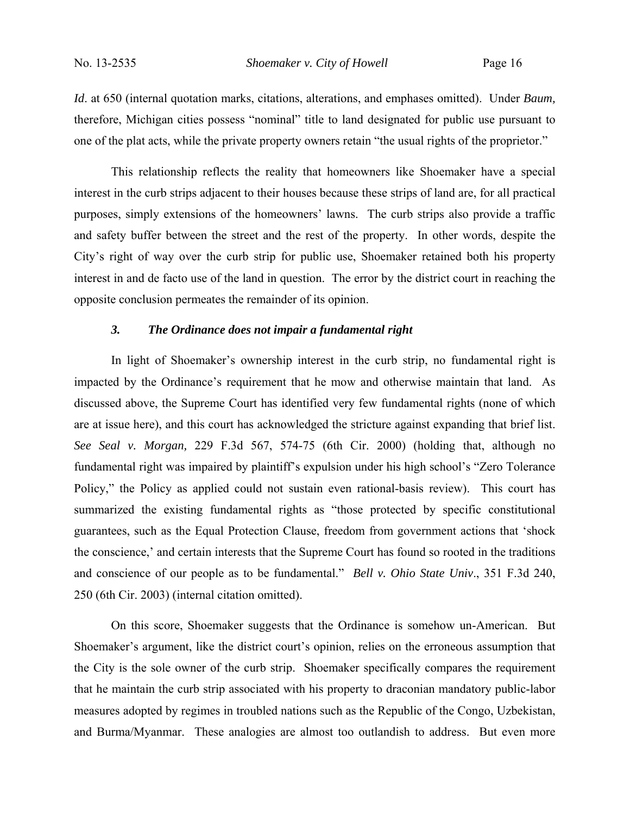*Id*. at 650 (internal quotation marks, citations, alterations, and emphases omitted). Under *Baum,*  therefore, Michigan cities possess "nominal" title to land designated for public use pursuant to one of the plat acts, while the private property owners retain "the usual rights of the proprietor."

This relationship reflects the reality that homeowners like Shoemaker have a special interest in the curb strips adjacent to their houses because these strips of land are, for all practical purposes, simply extensions of the homeowners' lawns. The curb strips also provide a traffic and safety buffer between the street and the rest of the property. In other words, despite the City's right of way over the curb strip for public use, Shoemaker retained both his property interest in and de facto use of the land in question. The error by the district court in reaching the opposite conclusion permeates the remainder of its opinion.

# *3. The Ordinance does not impair a fundamental right*

In light of Shoemaker's ownership interest in the curb strip, no fundamental right is impacted by the Ordinance's requirement that he mow and otherwise maintain that land. As discussed above, the Supreme Court has identified very few fundamental rights (none of which are at issue here), and this court has acknowledged the stricture against expanding that brief list. *See Seal v. Morgan,* 229 F.3d 567, 574-75 (6th Cir. 2000) (holding that, although no fundamental right was impaired by plaintiff's expulsion under his high school's "Zero Tolerance Policy," the Policy as applied could not sustain even rational-basis review). This court has summarized the existing fundamental rights as "those protected by specific constitutional guarantees, such as the Equal Protection Clause, freedom from government actions that 'shock the conscience,' and certain interests that the Supreme Court has found so rooted in the traditions and conscience of our people as to be fundamental." *Bell v. Ohio State Univ*., 351 F.3d 240, 250 (6th Cir. 2003) (internal citation omitted).

On this score, Shoemaker suggests that the Ordinance is somehow un-American. But Shoemaker's argument, like the district court's opinion, relies on the erroneous assumption that the City is the sole owner of the curb strip. Shoemaker specifically compares the requirement that he maintain the curb strip associated with his property to draconian mandatory public-labor measures adopted by regimes in troubled nations such as the Republic of the Congo, Uzbekistan, and Burma/Myanmar. These analogies are almost too outlandish to address. But even more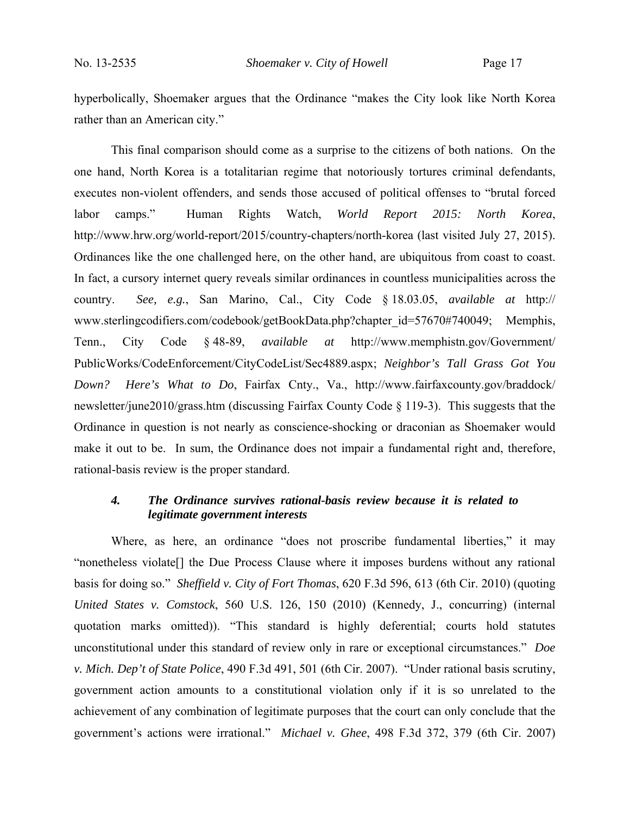hyperbolically, Shoemaker argues that the Ordinance "makes the City look like North Korea rather than an American city."

This final comparison should come as a surprise to the citizens of both nations. On the one hand, North Korea is a totalitarian regime that notoriously tortures criminal defendants, executes non-violent offenders, and sends those accused of political offenses to "brutal forced labor camps." Human Rights Watch, *World Report 2015: North Korea*, http://www.hrw.org/world-report/2015/country-chapters/north-korea (last visited July 27, 2015). Ordinances like the one challenged here, on the other hand, are ubiquitous from coast to coast. In fact, a cursory internet query reveals similar ordinances in countless municipalities across the country. *See, e.g.*, San Marino, Cal., City Code § 18.03.05, *available at* http:// www.sterlingcodifiers.com/codebook/getBookData.php?chapter\_id=57670#740049; Memphis, Tenn., City Code § 48-89, *available at* http://www.memphistn.gov/Government/ PublicWorks/CodeEnforcement/CityCodeList/Sec4889.aspx; *Neighbor's Tall Grass Got You Down? Here's What to Do*, Fairfax Cnty., Va., http://www.fairfaxcounty.gov/braddock/ newsletter/june2010/grass.htm (discussing Fairfax County Code § 119-3). This suggests that the Ordinance in question is not nearly as conscience-shocking or draconian as Shoemaker would make it out to be. In sum, the Ordinance does not impair a fundamental right and, therefore, rational-basis review is the proper standard.

# *4. The Ordinance survives rational-basis review because it is related to legitimate government interests*

Where, as here, an ordinance "does not proscribe fundamental liberties," it may "nonetheless violate[] the Due Process Clause where it imposes burdens without any rational basis for doing so." *Sheffield v. City of Fort Thomas*, 620 F.3d 596, 613 (6th Cir. 2010) (quoting *United States v. Comstock*, 560 U.S. 126, 150 (2010) (Kennedy, J., concurring) (internal quotation marks omitted)). "This standard is highly deferential; courts hold statutes unconstitutional under this standard of review only in rare or exceptional circumstances." *Doe v. Mich. Dep't of State Police*, 490 F.3d 491, 501 (6th Cir. 2007). "Under rational basis scrutiny, government action amounts to a constitutional violation only if it is so unrelated to the achievement of any combination of legitimate purposes that the court can only conclude that the government's actions were irrational." *Michael v. Ghee*, 498 F.3d 372, 379 (6th Cir. 2007)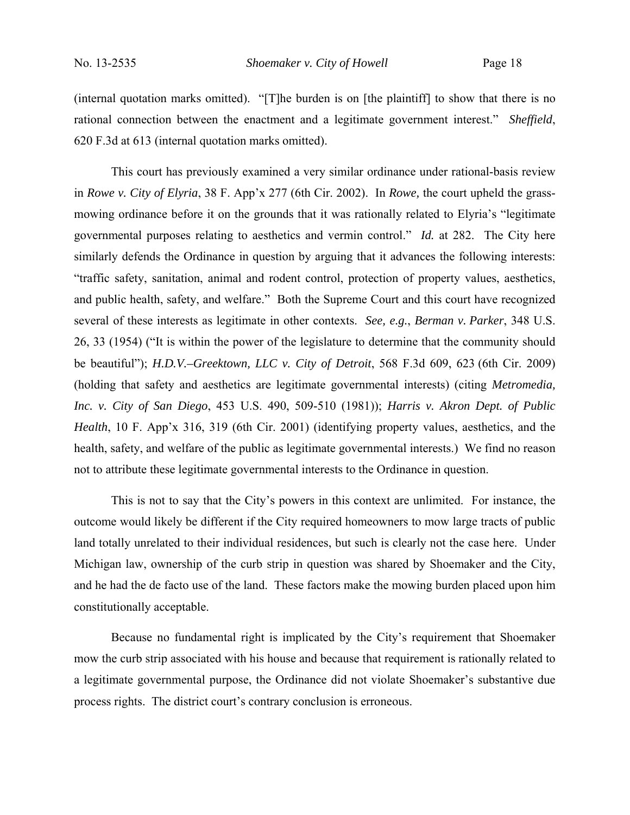(internal quotation marks omitted). "[T]he burden is on [the plaintiff] to show that there is no rational connection between the enactment and a legitimate government interest." *Sheffield*, 620 F.3d at 613 (internal quotation marks omitted).

This court has previously examined a very similar ordinance under rational-basis review in *Rowe v. City of Elyria*, 38 F. App'x 277 (6th Cir. 2002). In *Rowe,* the court upheld the grassmowing ordinance before it on the grounds that it was rationally related to Elyria's "legitimate governmental purposes relating to aesthetics and vermin control." *Id.* at 282. The City here similarly defends the Ordinance in question by arguing that it advances the following interests: "traffic safety, sanitation, animal and rodent control, protection of property values, aesthetics, and public health, safety, and welfare." Both the Supreme Court and this court have recognized several of these interests as legitimate in other contexts. *See, e.g.*, *Berman v. Parker*, 348 U.S. 26, 33 (1954) ("It is within the power of the legislature to determine that the community should be beautiful"); *H.D.V.–Greektown, LLC v. City of Detroit*, 568 F.3d 609, 623 (6th Cir. 2009) (holding that safety and aesthetics are legitimate governmental interests) (citing *Metromedia, Inc. v. City of San Diego*, 453 U.S. 490, 509-510 (1981)); *Harris v. Akron Dept. of Public Health*, 10 F. App'x 316, 319 (6th Cir. 2001) (identifying property values, aesthetics, and the health, safety, and welfare of the public as legitimate governmental interests.) We find no reason not to attribute these legitimate governmental interests to the Ordinance in question.

This is not to say that the City's powers in this context are unlimited. For instance, the outcome would likely be different if the City required homeowners to mow large tracts of public land totally unrelated to their individual residences, but such is clearly not the case here. Under Michigan law, ownership of the curb strip in question was shared by Shoemaker and the City, and he had the de facto use of the land. These factors make the mowing burden placed upon him constitutionally acceptable.

 Because no fundamental right is implicated by the City's requirement that Shoemaker mow the curb strip associated with his house and because that requirement is rationally related to a legitimate governmental purpose, the Ordinance did not violate Shoemaker's substantive due process rights. The district court's contrary conclusion is erroneous.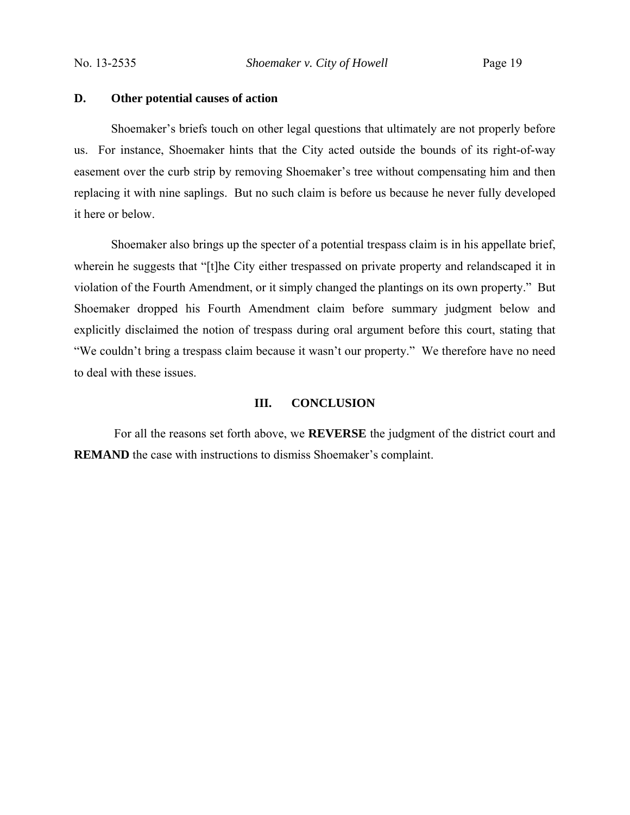# **D. Other potential causes of action**

 Shoemaker's briefs touch on other legal questions that ultimately are not properly before us. For instance, Shoemaker hints that the City acted outside the bounds of its right-of-way easement over the curb strip by removing Shoemaker's tree without compensating him and then replacing it with nine saplings. But no such claim is before us because he never fully developed it here or below.

Shoemaker also brings up the specter of a potential trespass claim is in his appellate brief, wherein he suggests that "[t]he City either trespassed on private property and relandscaped it in violation of the Fourth Amendment, or it simply changed the plantings on its own property." But Shoemaker dropped his Fourth Amendment claim before summary judgment below and explicitly disclaimed the notion of trespass during oral argument before this court, stating that "We couldn't bring a trespass claim because it wasn't our property." We therefore have no need to deal with these issues.

# **III. CONCLUSION**

 For all the reasons set forth above, we **REVERSE** the judgment of the district court and **REMAND** the case with instructions to dismiss Shoemaker's complaint.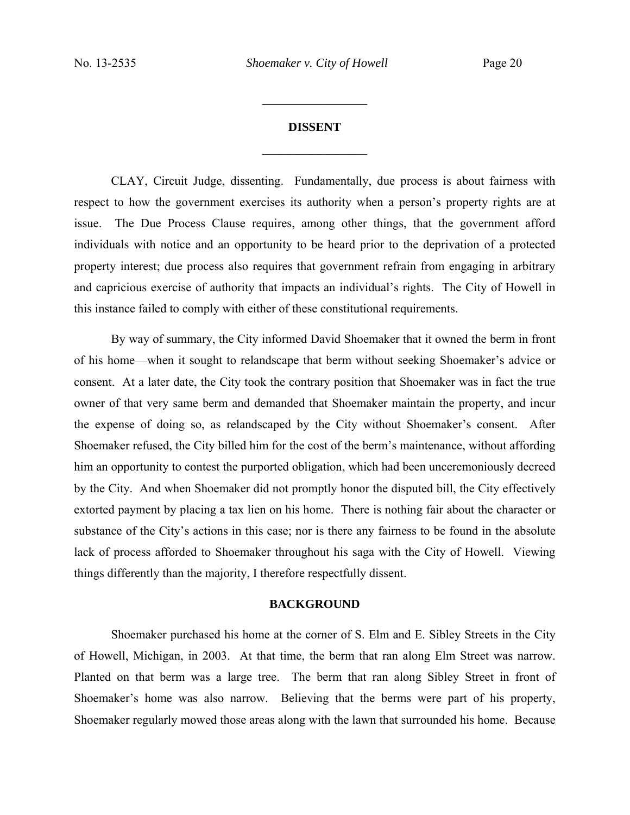$\frac{1}{2}$ 

# **DISSENT**  $\frac{1}{2}$

CLAY, Circuit Judge, dissenting.Fundamentally, due process is about fairness with respect to how the government exercises its authority when a person's property rights are at issue. The Due Process Clause requires, among other things, that the government afford individuals with notice and an opportunity to be heard prior to the deprivation of a protected property interest; due process also requires that government refrain from engaging in arbitrary and capricious exercise of authority that impacts an individual's rights. The City of Howell in this instance failed to comply with either of these constitutional requirements.

By way of summary, the City informed David Shoemaker that it owned the berm in front of his home—when it sought to relandscape that berm without seeking Shoemaker's advice or consent. At a later date, the City took the contrary position that Shoemaker was in fact the true owner of that very same berm and demanded that Shoemaker maintain the property, and incur the expense of doing so, as relandscaped by the City without Shoemaker's consent. After Shoemaker refused, the City billed him for the cost of the berm's maintenance, without affording him an opportunity to contest the purported obligation, which had been unceremoniously decreed by the City. And when Shoemaker did not promptly honor the disputed bill, the City effectively extorted payment by placing a tax lien on his home. There is nothing fair about the character or substance of the City's actions in this case; nor is there any fairness to be found in the absolute lack of process afforded to Shoemaker throughout his saga with the City of Howell. Viewing things differently than the majority, I therefore respectfully dissent.

#### **BACKGROUND**

Shoemaker purchased his home at the corner of S. Elm and E. Sibley Streets in the City of Howell, Michigan, in 2003. At that time, the berm that ran along Elm Street was narrow. Planted on that berm was a large tree. The berm that ran along Sibley Street in front of Shoemaker's home was also narrow. Believing that the berms were part of his property, Shoemaker regularly mowed those areas along with the lawn that surrounded his home. Because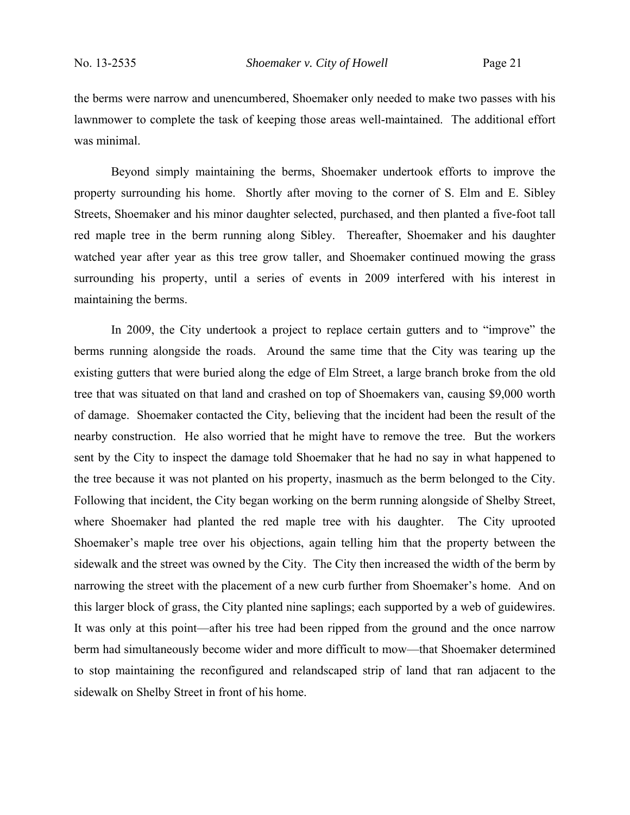the berms were narrow and unencumbered, Shoemaker only needed to make two passes with his lawnmower to complete the task of keeping those areas well-maintained. The additional effort was minimal.

Beyond simply maintaining the berms, Shoemaker undertook efforts to improve the property surrounding his home. Shortly after moving to the corner of S. Elm and E. Sibley Streets, Shoemaker and his minor daughter selected, purchased, and then planted a five-foot tall red maple tree in the berm running along Sibley. Thereafter, Shoemaker and his daughter watched year after year as this tree grow taller, and Shoemaker continued mowing the grass surrounding his property, until a series of events in 2009 interfered with his interest in maintaining the berms.

In 2009, the City undertook a project to replace certain gutters and to "improve" the berms running alongside the roads. Around the same time that the City was tearing up the existing gutters that were buried along the edge of Elm Street, a large branch broke from the old tree that was situated on that land and crashed on top of Shoemakers van, causing \$9,000 worth of damage. Shoemaker contacted the City, believing that the incident had been the result of the nearby construction. He also worried that he might have to remove the tree. But the workers sent by the City to inspect the damage told Shoemaker that he had no say in what happened to the tree because it was not planted on his property, inasmuch as the berm belonged to the City. Following that incident, the City began working on the berm running alongside of Shelby Street, where Shoemaker had planted the red maple tree with his daughter. The City uprooted Shoemaker's maple tree over his objections, again telling him that the property between the sidewalk and the street was owned by the City. The City then increased the width of the berm by narrowing the street with the placement of a new curb further from Shoemaker's home. And on this larger block of grass, the City planted nine saplings; each supported by a web of guidewires. It was only at this point—after his tree had been ripped from the ground and the once narrow berm had simultaneously become wider and more difficult to mow—that Shoemaker determined to stop maintaining the reconfigured and relandscaped strip of land that ran adjacent to the sidewalk on Shelby Street in front of his home.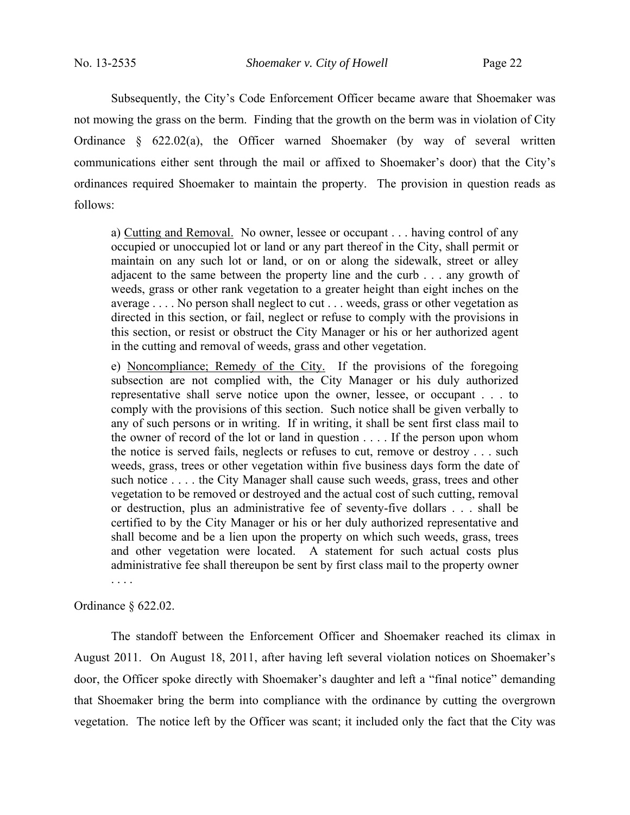Subsequently, the City's Code Enforcement Officer became aware that Shoemaker was not mowing the grass on the berm. Finding that the growth on the berm was in violation of City Ordinance § 622.02(a), the Officer warned Shoemaker (by way of several written communications either sent through the mail or affixed to Shoemaker's door) that the City's ordinances required Shoemaker to maintain the property. The provision in question reads as follows:

a) Cutting and Removal. No owner, lessee or occupant . . . having control of any occupied or unoccupied lot or land or any part thereof in the City, shall permit or maintain on any such lot or land, or on or along the sidewalk, street or alley adjacent to the same between the property line and the curb . . . any growth of weeds, grass or other rank vegetation to a greater height than eight inches on the average . . . . No person shall neglect to cut . . . weeds, grass or other vegetation as directed in this section, or fail, neglect or refuse to comply with the provisions in this section, or resist or obstruct the City Manager or his or her authorized agent in the cutting and removal of weeds, grass and other vegetation.

e) Noncompliance; Remedy of the City. If the provisions of the foregoing subsection are not complied with, the City Manager or his duly authorized representative shall serve notice upon the owner, lessee, or occupant . . . to comply with the provisions of this section. Such notice shall be given verbally to any of such persons or in writing. If in writing, it shall be sent first class mail to the owner of record of the lot or land in question . . . . If the person upon whom the notice is served fails, neglects or refuses to cut, remove or destroy . . . such weeds, grass, trees or other vegetation within five business days form the date of such notice . . . . the City Manager shall cause such weeds, grass, trees and other vegetation to be removed or destroyed and the actual cost of such cutting, removal or destruction, plus an administrative fee of seventy-five dollars . . . shall be certified to by the City Manager or his or her duly authorized representative and shall become and be a lien upon the property on which such weeds, grass, trees and other vegetation were located. A statement for such actual costs plus administrative fee shall thereupon be sent by first class mail to the property owner . . . .

Ordinance § 622.02.

The standoff between the Enforcement Officer and Shoemaker reached its climax in August 2011. On August 18, 2011, after having left several violation notices on Shoemaker's door, the Officer spoke directly with Shoemaker's daughter and left a "final notice" demanding that Shoemaker bring the berm into compliance with the ordinance by cutting the overgrown vegetation. The notice left by the Officer was scant; it included only the fact that the City was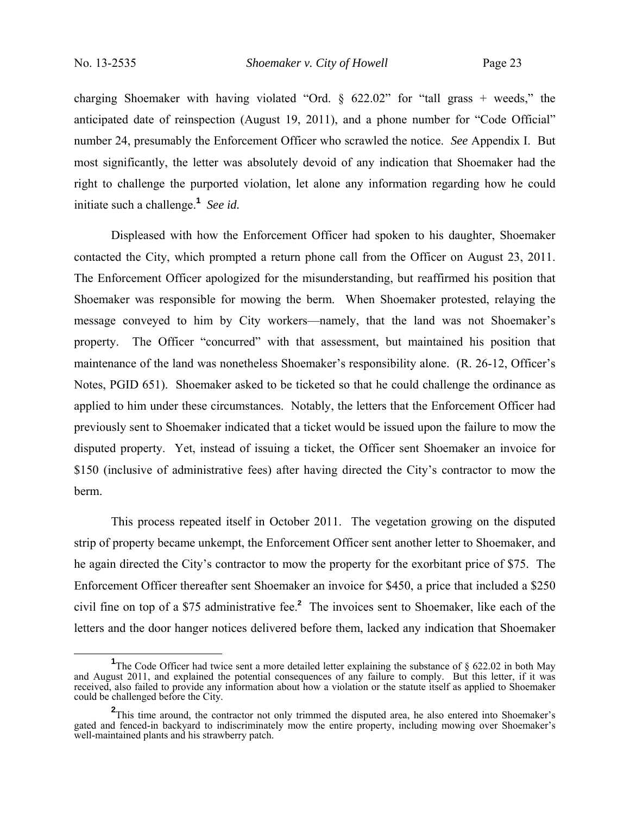charging Shoemaker with having violated "Ord.  $\S$  622.02" for "tall grass + weeds," the anticipated date of reinspection (August 19, 2011), and a phone number for "Code Official" number 24, presumably the Enforcement Officer who scrawled the notice. *See* Appendix I. But most significantly, the letter was absolutely devoid of any indication that Shoemaker had the right to challenge the purported violation, let alone any information regarding how he could initiate such a challenge.**<sup>1</sup>** *See id.*

Displeased with how the Enforcement Officer had spoken to his daughter, Shoemaker contacted the City, which prompted a return phone call from the Officer on August 23, 2011. The Enforcement Officer apologized for the misunderstanding, but reaffirmed his position that Shoemaker was responsible for mowing the berm. When Shoemaker protested, relaying the message conveyed to him by City workers—namely, that the land was not Shoemaker's property. The Officer "concurred" with that assessment, but maintained his position that maintenance of the land was nonetheless Shoemaker's responsibility alone. (R. 26-12, Officer's Notes, PGID 651). Shoemaker asked to be ticketed so that he could challenge the ordinance as applied to him under these circumstances. Notably, the letters that the Enforcement Officer had previously sent to Shoemaker indicated that a ticket would be issued upon the failure to mow the disputed property. Yet, instead of issuing a ticket, the Officer sent Shoemaker an invoice for \$150 (inclusive of administrative fees) after having directed the City's contractor to mow the berm.

This process repeated itself in October 2011. The vegetation growing on the disputed strip of property became unkempt, the Enforcement Officer sent another letter to Shoemaker, and he again directed the City's contractor to mow the property for the exorbitant price of \$75. The Enforcement Officer thereafter sent Shoemaker an invoice for \$450, a price that included a \$250 civil fine on top of a \$75 administrative fee.**<sup>2</sup>** The invoices sent to Shoemaker, like each of the letters and the door hanger notices delivered before them, lacked any indication that Shoemaker

**<sup>1</sup>** <sup>1</sup>The Code Officer had twice sent a more detailed letter explaining the substance of § 622.02 in both May and August 2011, and explained the potential consequences of any failure to comply. But this letter, if it was received, also failed to provide any information about how a violation or the statute itself as applied to Shoemaker could be challenged before the City.

<sup>&</sup>lt;sup>2</sup>This time around, the contractor not only trimmed the disputed area, he also entered into Shoemaker's gated and fenced-in backyard to indiscriminately mow the entire property, including mowing over Shoemaker's well-maintained plants and his strawberry patch.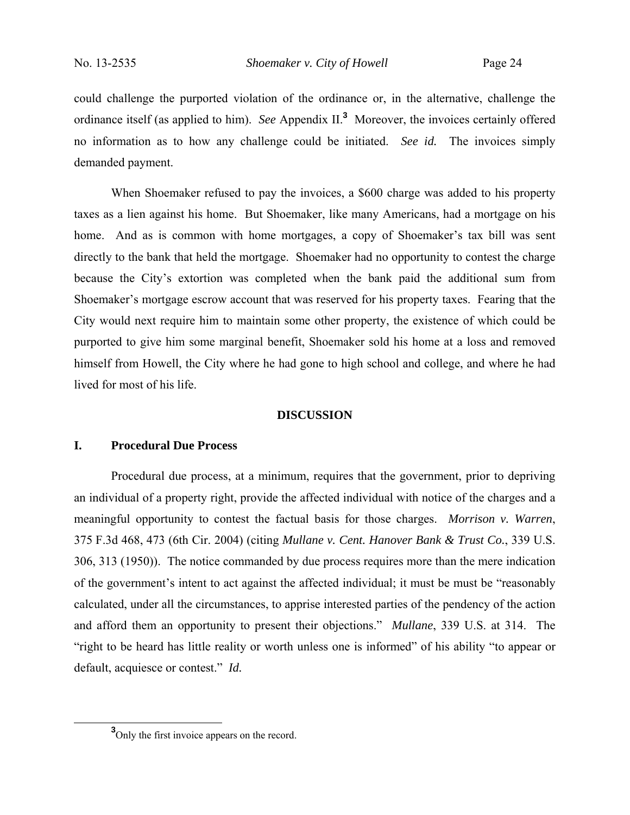could challenge the purported violation of the ordinance or, in the alternative, challenge the ordinance itself (as applied to him). *See* Appendix II.**<sup>3</sup>** Moreover, the invoices certainly offered no information as to how any challenge could be initiated. *See id.* The invoices simply demanded payment.

When Shoemaker refused to pay the invoices, a \$600 charge was added to his property taxes as a lien against his home. But Shoemaker, like many Americans, had a mortgage on his home. And as is common with home mortgages, a copy of Shoemaker's tax bill was sent directly to the bank that held the mortgage. Shoemaker had no opportunity to contest the charge because the City's extortion was completed when the bank paid the additional sum from Shoemaker's mortgage escrow account that was reserved for his property taxes. Fearing that the City would next require him to maintain some other property, the existence of which could be purported to give him some marginal benefit, Shoemaker sold his home at a loss and removed himself from Howell, the City where he had gone to high school and college, and where he had lived for most of his life.

#### **DISCUSSION**

### **I. Procedural Due Process**

Procedural due process, at a minimum, requires that the government, prior to depriving an individual of a property right, provide the affected individual with notice of the charges and a meaningful opportunity to contest the factual basis for those charges. *Morrison v. Warren*, 375 F.3d 468, 473 (6th Cir. 2004) (citing *Mullane v. Cent. Hanover Bank & Trust Co.*, 339 U.S. 306, 313 (1950)). The notice commanded by due process requires more than the mere indication of the government's intent to act against the affected individual; it must be must be "reasonably calculated, under all the circumstances, to apprise interested parties of the pendency of the action and afford them an opportunity to present their objections." *Mullane*, 339 U.S. at 314. The "right to be heard has little reality or worth unless one is informed" of his ability "to appear or default, acquiesce or contest." *Id.* 

**<sup>3</sup>** <sup>3</sup>Only the first invoice appears on the record.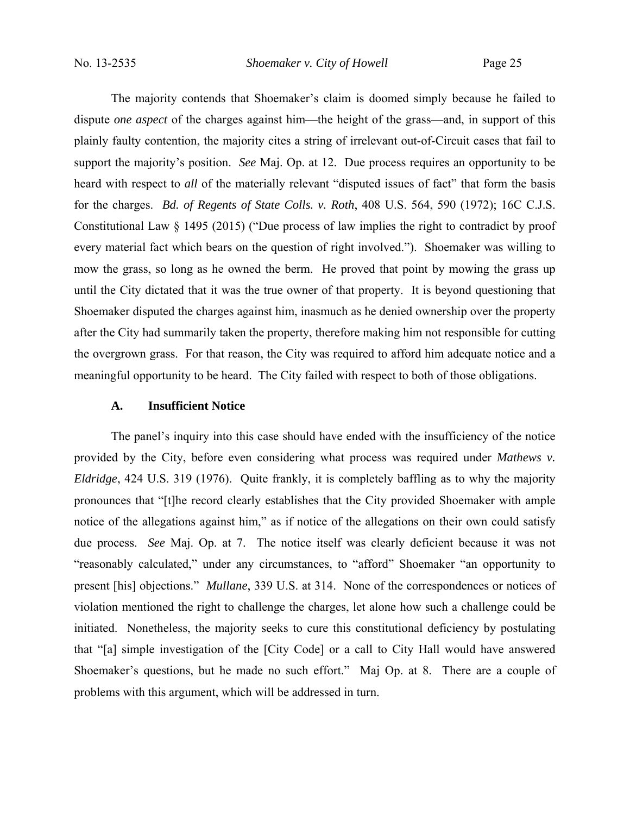No. 13-2535 *Shoemaker v. City of Howell* Page 25

The majority contends that Shoemaker's claim is doomed simply because he failed to dispute *one aspect* of the charges against him—the height of the grass—and, in support of this plainly faulty contention, the majority cites a string of irrelevant out-of-Circuit cases that fail to support the majority's position. *See* Maj. Op. at 12. Due process requires an opportunity to be heard with respect to *all* of the materially relevant "disputed issues of fact" that form the basis for the charges. *Bd. of Regents of State Colls. v. Roth*, 408 U.S. 564, 590 (1972); 16C C.J.S. Constitutional Law § 1495 (2015) ("Due process of law implies the right to contradict by proof every material fact which bears on the question of right involved.").Shoemaker was willing to mow the grass, so long as he owned the berm. He proved that point by mowing the grass up until the City dictated that it was the true owner of that property. It is beyond questioning that Shoemaker disputed the charges against him, inasmuch as he denied ownership over the property after the City had summarily taken the property, therefore making him not responsible for cutting the overgrown grass. For that reason, the City was required to afford him adequate notice and a meaningful opportunity to be heard. The City failed with respect to both of those obligations.

#### **A. Insufficient Notice**

The panel's inquiry into this case should have ended with the insufficiency of the notice provided by the City, before even considering what process was required under *Mathews v. Eldridge*, 424 U.S. 319 (1976). Quite frankly, it is completely baffling as to why the majority pronounces that "[t]he record clearly establishes that the City provided Shoemaker with ample notice of the allegations against him," as if notice of the allegations on their own could satisfy due process. *See* Maj. Op. at 7. The notice itself was clearly deficient because it was not "reasonably calculated," under any circumstances, to "afford" Shoemaker "an opportunity to present [his] objections." *Mullane*, 339 U.S. at 314. None of the correspondences or notices of violation mentioned the right to challenge the charges, let alone how such a challenge could be initiated. Nonetheless, the majority seeks to cure this constitutional deficiency by postulating that "[a] simple investigation of the [City Code] or a call to City Hall would have answered Shoemaker's questions, but he made no such effort." Maj Op. at 8. There are a couple of problems with this argument, which will be addressed in turn.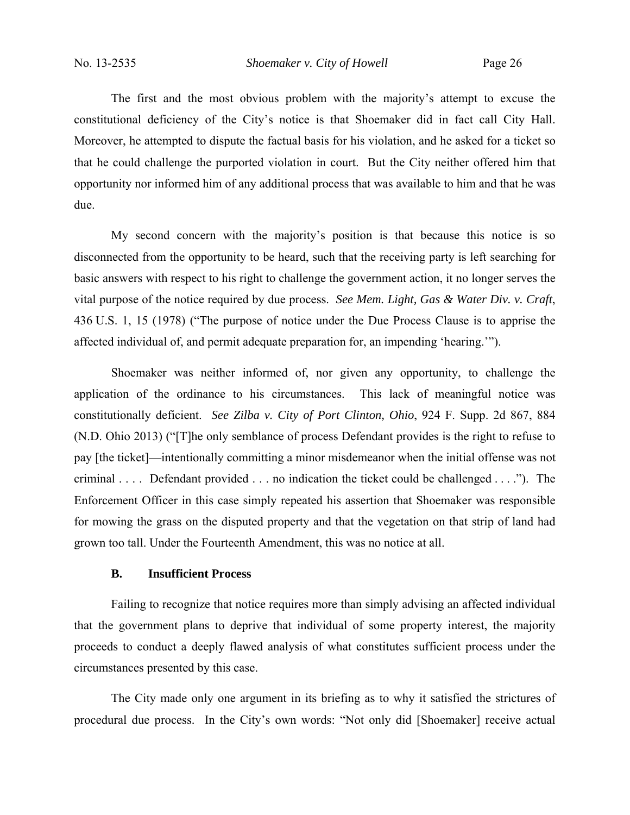The first and the most obvious problem with the majority's attempt to excuse the constitutional deficiency of the City's notice is that Shoemaker did in fact call City Hall. Moreover, he attempted to dispute the factual basis for his violation, and he asked for a ticket so that he could challenge the purported violation in court. But the City neither offered him that opportunity nor informed him of any additional process that was available to him and that he was due.

My second concern with the majority's position is that because this notice is so disconnected from the opportunity to be heard, such that the receiving party is left searching for basic answers with respect to his right to challenge the government action, it no longer serves the vital purpose of the notice required by due process. *See Mem. Light, Gas & Water Div. v. Craft*, 436 U.S. 1, 15 (1978) ("The purpose of notice under the Due Process Clause is to apprise the affected individual of, and permit adequate preparation for, an impending 'hearing.'").

Shoemaker was neither informed of, nor given any opportunity, to challenge the application of the ordinance to his circumstances. This lack of meaningful notice was constitutionally deficient. *See Zilba v. City of Port Clinton, Ohio*, 924 F. Supp. 2d 867, 884 (N.D. Ohio 2013) ("[T]he only semblance of process Defendant provides is the right to refuse to pay [the ticket]—intentionally committing a minor misdemeanor when the initial offense was not criminal . . . . Defendant provided . . . no indication the ticket could be challenged . . . ."). The Enforcement Officer in this case simply repeated his assertion that Shoemaker was responsible for mowing the grass on the disputed property and that the vegetation on that strip of land had grown too tall. Under the Fourteenth Amendment, this was no notice at all.

# **B. Insufficient Process**

Failing to recognize that notice requires more than simply advising an affected individual that the government plans to deprive that individual of some property interest, the majority proceeds to conduct a deeply flawed analysis of what constitutes sufficient process under the circumstances presented by this case.

The City made only one argument in its briefing as to why it satisfied the strictures of procedural due process. In the City's own words: "Not only did [Shoemaker] receive actual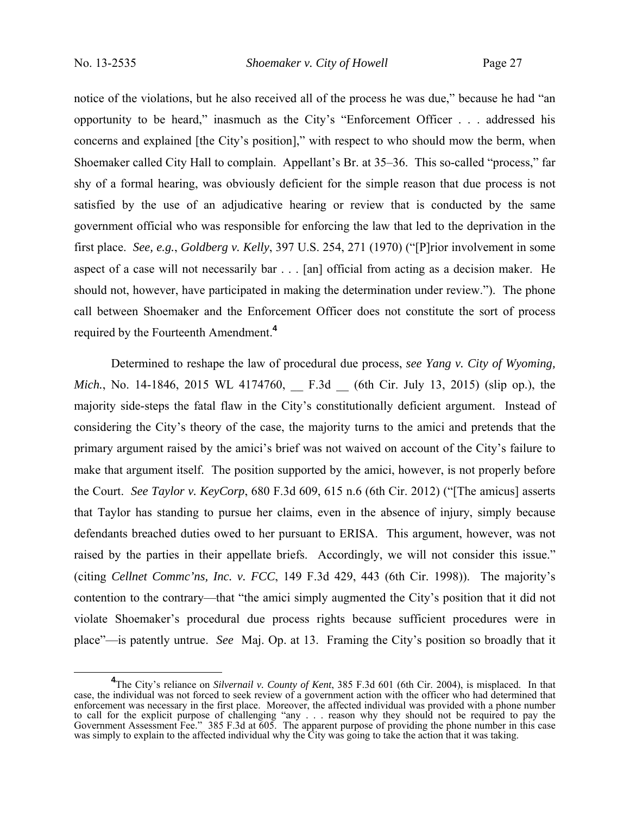notice of the violations, but he also received all of the process he was due," because he had "an opportunity to be heard," inasmuch as the City's "Enforcement Officer . . . addressed his concerns and explained [the City's position]," with respect to who should mow the berm, when Shoemaker called City Hall to complain. Appellant's Br. at 35–36. This so-called "process," far shy of a formal hearing, was obviously deficient for the simple reason that due process is not satisfied by the use of an adjudicative hearing or review that is conducted by the same government official who was responsible for enforcing the law that led to the deprivation in the first place. *See, e.g.*, *Goldberg v. Kelly*, 397 U.S. 254, 271 (1970) ("[P]rior involvement in some aspect of a case will not necessarily bar . . . [an] official from acting as a decision maker. He should not, however, have participated in making the determination under review."). The phone call between Shoemaker and the Enforcement Officer does not constitute the sort of process required by the Fourteenth Amendment.**<sup>4</sup>**

Determined to reshape the law of procedural due process, *see Yang v. City of Wyoming, Mich.*, No. 14-1846, 2015 WL 4174760, F.3d (6th Cir. July 13, 2015) (slip op.), the majority side-steps the fatal flaw in the City's constitutionally deficient argument. Instead of considering the City's theory of the case, the majority turns to the amici and pretends that the primary argument raised by the amici's brief was not waived on account of the City's failure to make that argument itself. The position supported by the amici, however, is not properly before the Court. *See Taylor v. KeyCorp*, 680 F.3d 609, 615 n.6 (6th Cir. 2012) ("[The amicus] asserts that Taylor has standing to pursue her claims, even in the absence of injury, simply because defendants breached duties owed to her pursuant to ERISA. This argument, however, was not raised by the parties in their appellate briefs. Accordingly, we will not consider this issue." (citing *Cellnet Commc'ns, Inc. v. FCC*, 149 F.3d 429, 443 (6th Cir. 1998)). The majority's contention to the contrary—that "the amici simply augmented the City's position that it did not violate Shoemaker's procedural due process rights because sufficient procedures were in place"—is patently untrue. *See* Maj. Op. at 13. Framing the City's position so broadly that it

**<sup>4</sup>**<br> **4** The City's reliance on *Silvernail v. County of Kent*, 385 F.3d 601 (6th Cir. 2004), is misplaced. In that case, the individual was not forced to seek review of a government action with the officer who had determined that enforcement was necessary in the first place. Moreover, the affected individual was provided with a phone number to call for the explicit purpose of challenging "any . . . reason why they should not be required to pay the Government Assessment Fee." 385 F.3d at 605. The apparent purpose of providing the phone number in this case was simply to explain to the affected individual why the City was going to take the action that it was taking.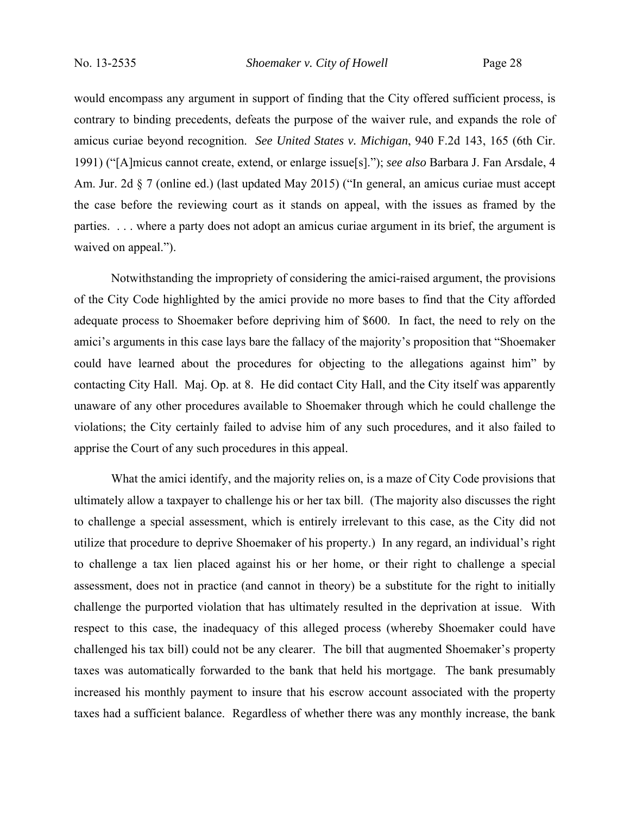would encompass any argument in support of finding that the City offered sufficient process, is contrary to binding precedents, defeats the purpose of the waiver rule, and expands the role of amicus curiae beyond recognition. *See United States v. Michigan*, 940 F.2d 143, 165 (6th Cir. 1991) ("[A]micus cannot create, extend, or enlarge issue[s]."); *see also* Barbara J. Fan Arsdale, 4 Am. Jur. 2d § 7 (online ed.) (last updated May 2015) ("In general, an amicus curiae must accept the case before the reviewing court as it stands on appeal, with the issues as framed by the parties. . . . where a party does not adopt an amicus curiae argument in its brief, the argument is waived on appeal.").

Notwithstanding the impropriety of considering the amici-raised argument, the provisions of the City Code highlighted by the amici provide no more bases to find that the City afforded adequate process to Shoemaker before depriving him of \$600. In fact, the need to rely on the amici's arguments in this case lays bare the fallacy of the majority's proposition that "Shoemaker could have learned about the procedures for objecting to the allegations against him" by contacting City Hall. Maj. Op. at 8. He did contact City Hall, and the City itself was apparently unaware of any other procedures available to Shoemaker through which he could challenge the violations; the City certainly failed to advise him of any such procedures, and it also failed to apprise the Court of any such procedures in this appeal.

What the amici identify, and the majority relies on, is a maze of City Code provisions that ultimately allow a taxpayer to challenge his or her tax bill. (The majority also discusses the right to challenge a special assessment, which is entirely irrelevant to this case, as the City did not utilize that procedure to deprive Shoemaker of his property.) In any regard, an individual's right to challenge a tax lien placed against his or her home, or their right to challenge a special assessment, does not in practice (and cannot in theory) be a substitute for the right to initially challenge the purported violation that has ultimately resulted in the deprivation at issue. With respect to this case, the inadequacy of this alleged process (whereby Shoemaker could have challenged his tax bill) could not be any clearer. The bill that augmented Shoemaker's property taxes was automatically forwarded to the bank that held his mortgage. The bank presumably increased his monthly payment to insure that his escrow account associated with the property taxes had a sufficient balance. Regardless of whether there was any monthly increase, the bank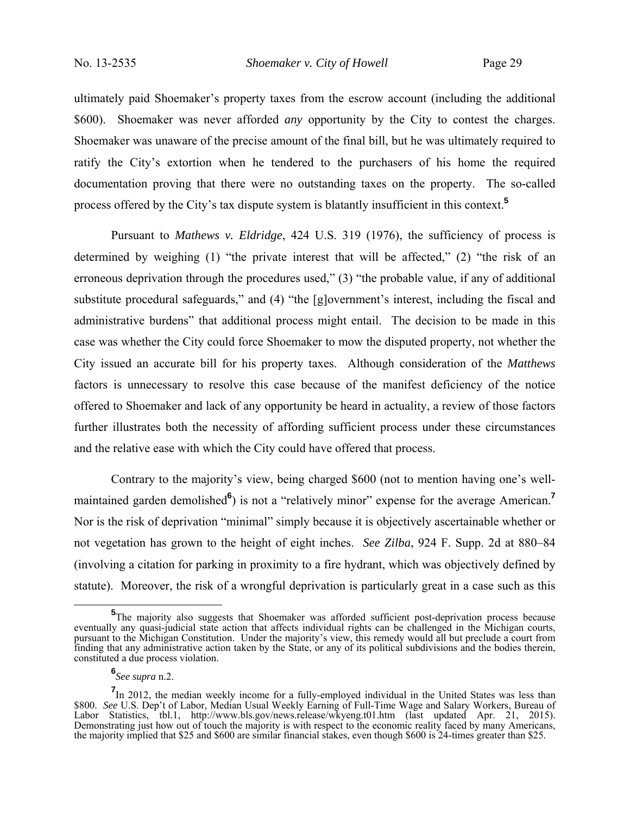No. 13-2535 *Shoemaker v. City of Howell* Page 29

ultimately paid Shoemaker's property taxes from the escrow account (including the additional \$600). Shoemaker was never afforded *any* opportunity by the City to contest the charges. Shoemaker was unaware of the precise amount of the final bill, but he was ultimately required to ratify the City's extortion when he tendered to the purchasers of his home the required documentation proving that there were no outstanding taxes on the property. The so-called process offered by the City's tax dispute system is blatantly insufficient in this context.**<sup>5</sup>**

Pursuant to *Mathews v. Eldridge*, 424 U.S. 319 (1976), the sufficiency of process is determined by weighing (1) "the private interest that will be affected," (2) "the risk of an erroneous deprivation through the procedures used," (3) "the probable value, if any of additional substitute procedural safeguards," and (4) "the [g]overnment's interest, including the fiscal and administrative burdens" that additional process might entail. The decision to be made in this case was whether the City could force Shoemaker to mow the disputed property, not whether the City issued an accurate bill for his property taxes. Although consideration of the *Matthews*  factors is unnecessary to resolve this case because of the manifest deficiency of the notice offered to Shoemaker and lack of any opportunity be heard in actuality, a review of those factors further illustrates both the necessity of affording sufficient process under these circumstances and the relative ease with which the City could have offered that process.

Contrary to the majority's view, being charged \$600 (not to mention having one's wellmaintained garden demolished<sup>6</sup>) is not a "relatively minor" expense for the average American.<sup>7</sup> Nor is the risk of deprivation "minimal" simply because it is objectively ascertainable whether or not vegetation has grown to the height of eight inches. *See Zilba*, 924 F. Supp. 2d at 880–84 (involving a citation for parking in proximity to a fire hydrant, which was objectively defined by statute). Moreover, the risk of a wrongful deprivation is particularly great in a case such as this

**<sup>5</sup>** <sup>5</sup>The majority also suggests that Shoemaker was afforded sufficient post-deprivation process because eventually any quasi-judicial state action that affects individual rights can be challenged in the Michigan courts, pursuant to the Michigan Constitution. Under the majority's view, this remedy would all but preclude a court from finding that any administrative action taken by the State, or any of its political subdivisions and the bodies therein, constituted a due process violation.

**<sup>6</sup>** *See supra* n.2.

**<sup>7</sup>**In 2012, the median weekly income for a fully-employed individual in the United States was less than \$800. *See* U.S. Dep't of Labor, Median Usual Weekly Earning of Full-Time Wage and Salary Workers, Bureau of Labor Statistics, tbl.1, http://www.bls.gov/news.release/wkyeng.t01.htm (last updated Apr. 21, 2015). Demonstrating just how out of touch the majority is with respect to the economic reality faced by many Americans, the majority implied that \$25 and \$600 are similar financial stakes, even though \$600 is 24-times greater than \$25.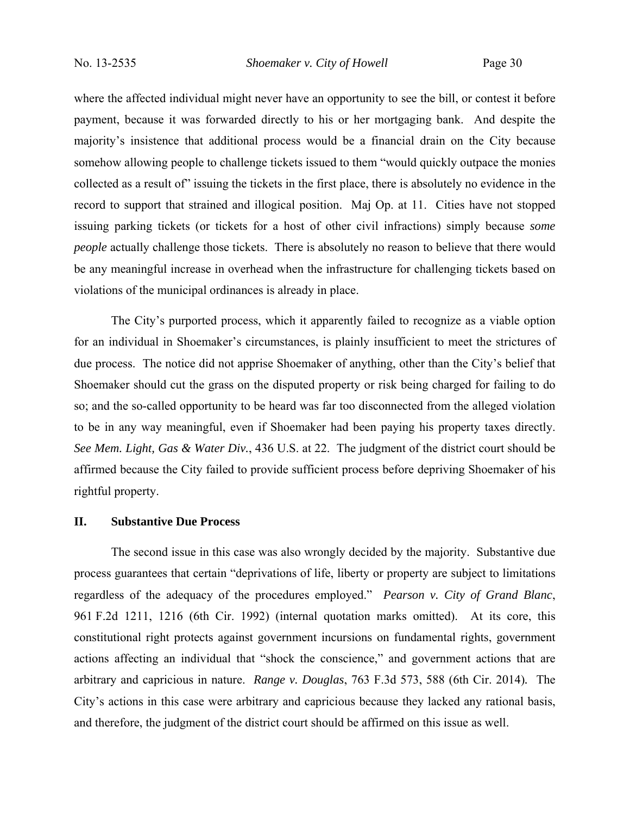where the affected individual might never have an opportunity to see the bill, or contest it before payment, because it was forwarded directly to his or her mortgaging bank. And despite the majority's insistence that additional process would be a financial drain on the City because somehow allowing people to challenge tickets issued to them "would quickly outpace the monies collected as a result of" issuing the tickets in the first place, there is absolutely no evidence in the record to support that strained and illogical position. Maj Op. at 11. Cities have not stopped issuing parking tickets (or tickets for a host of other civil infractions) simply because *some people* actually challenge those tickets. There is absolutely no reason to believe that there would be any meaningful increase in overhead when the infrastructure for challenging tickets based on violations of the municipal ordinances is already in place.

The City's purported process, which it apparently failed to recognize as a viable option for an individual in Shoemaker's circumstances, is plainly insufficient to meet the strictures of due process. The notice did not apprise Shoemaker of anything, other than the City's belief that Shoemaker should cut the grass on the disputed property or risk being charged for failing to do so; and the so-called opportunity to be heard was far too disconnected from the alleged violation to be in any way meaningful, even if Shoemaker had been paying his property taxes directly. *See Mem. Light, Gas & Water Div.*, 436 U.S. at 22. The judgment of the district court should be affirmed because the City failed to provide sufficient process before depriving Shoemaker of his rightful property.

# **II. Substantive Due Process**

The second issue in this case was also wrongly decided by the majority. Substantive due process guarantees that certain "deprivations of life, liberty or property are subject to limitations regardless of the adequacy of the procedures employed." *Pearson v. City of Grand Blanc*, 961 F.2d 1211, 1216 (6th Cir. 1992) (internal quotation marks omitted). At its core, this constitutional right protects against government incursions on fundamental rights, government actions affecting an individual that "shock the conscience," and government actions that are arbitrary and capricious in nature. *Range v. Douglas*, 763 F.3d 573, 588 (6th Cir. 2014)*.* The City's actions in this case were arbitrary and capricious because they lacked any rational basis, and therefore, the judgment of the district court should be affirmed on this issue as well.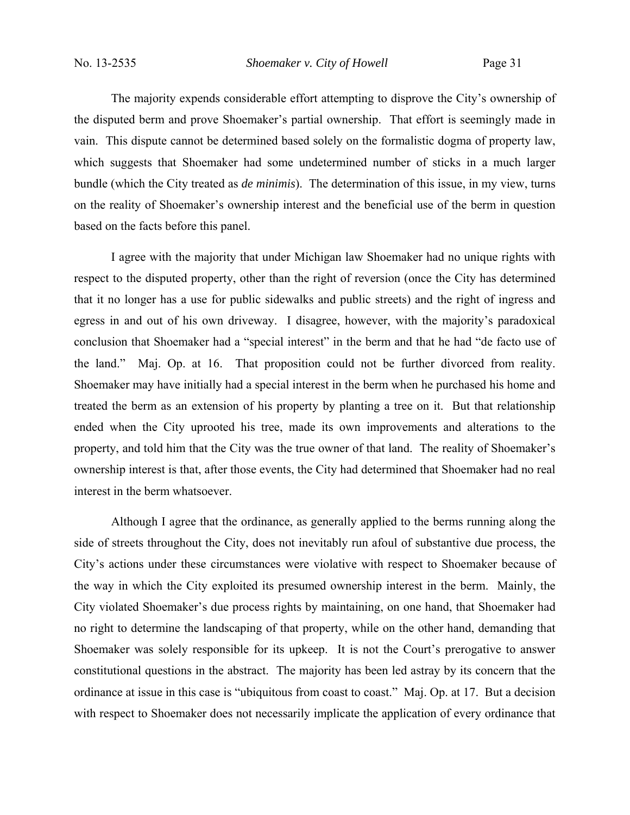No. 13-2535 *Shoemaker v. City of Howell* Page 31

The majority expends considerable effort attempting to disprove the City's ownership of the disputed berm and prove Shoemaker's partial ownership. That effort is seemingly made in vain. This dispute cannot be determined based solely on the formalistic dogma of property law, which suggests that Shoemaker had some undetermined number of sticks in a much larger bundle (which the City treated as *de minimis*). The determination of this issue, in my view, turns on the reality of Shoemaker's ownership interest and the beneficial use of the berm in question based on the facts before this panel.

I agree with the majority that under Michigan law Shoemaker had no unique rights with respect to the disputed property, other than the right of reversion (once the City has determined that it no longer has a use for public sidewalks and public streets) and the right of ingress and egress in and out of his own driveway. I disagree, however, with the majority's paradoxical conclusion that Shoemaker had a "special interest" in the berm and that he had "de facto use of the land." Maj. Op. at 16. That proposition could not be further divorced from reality. Shoemaker may have initially had a special interest in the berm when he purchased his home and treated the berm as an extension of his property by planting a tree on it. But that relationship ended when the City uprooted his tree, made its own improvements and alterations to the property, and told him that the City was the true owner of that land. The reality of Shoemaker's ownership interest is that, after those events, the City had determined that Shoemaker had no real interest in the berm whatsoever.

Although I agree that the ordinance, as generally applied to the berms running along the side of streets throughout the City, does not inevitably run afoul of substantive due process, the City's actions under these circumstances were violative with respect to Shoemaker because of the way in which the City exploited its presumed ownership interest in the berm. Mainly, the City violated Shoemaker's due process rights by maintaining, on one hand, that Shoemaker had no right to determine the landscaping of that property, while on the other hand, demanding that Shoemaker was solely responsible for its upkeep. It is not the Court's prerogative to answer constitutional questions in the abstract. The majority has been led astray by its concern that the ordinance at issue in this case is "ubiquitous from coast to coast." Maj. Op. at 17. But a decision with respect to Shoemaker does not necessarily implicate the application of every ordinance that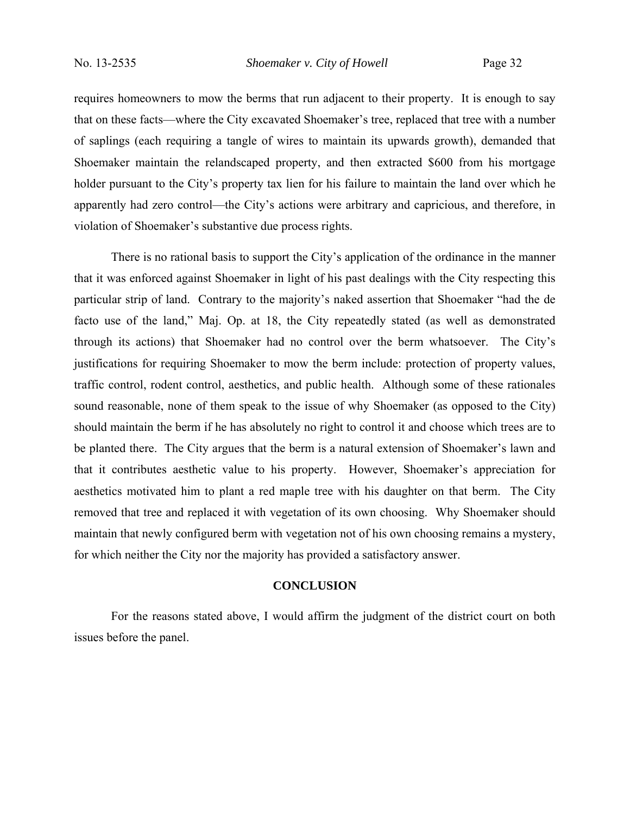requires homeowners to mow the berms that run adjacent to their property. It is enough to say that on these facts—where the City excavated Shoemaker's tree, replaced that tree with a number of saplings (each requiring a tangle of wires to maintain its upwards growth), demanded that Shoemaker maintain the relandscaped property, and then extracted \$600 from his mortgage holder pursuant to the City's property tax lien for his failure to maintain the land over which he apparently had zero control—the City's actions were arbitrary and capricious, and therefore, in violation of Shoemaker's substantive due process rights.

There is no rational basis to support the City's application of the ordinance in the manner that it was enforced against Shoemaker in light of his past dealings with the City respecting this particular strip of land. Contrary to the majority's naked assertion that Shoemaker "had the de facto use of the land," Maj. Op. at 18, the City repeatedly stated (as well as demonstrated through its actions) that Shoemaker had no control over the berm whatsoever. The City's justifications for requiring Shoemaker to mow the berm include: protection of property values, traffic control, rodent control, aesthetics, and public health. Although some of these rationales sound reasonable, none of them speak to the issue of why Shoemaker (as opposed to the City) should maintain the berm if he has absolutely no right to control it and choose which trees are to be planted there. The City argues that the berm is a natural extension of Shoemaker's lawn and that it contributes aesthetic value to his property. However, Shoemaker's appreciation for aesthetics motivated him to plant a red maple tree with his daughter on that berm. The City removed that tree and replaced it with vegetation of its own choosing. Why Shoemaker should maintain that newly configured berm with vegetation not of his own choosing remains a mystery, for which neither the City nor the majority has provided a satisfactory answer.

# **CONCLUSION**

For the reasons stated above, I would affirm the judgment of the district court on both issues before the panel.